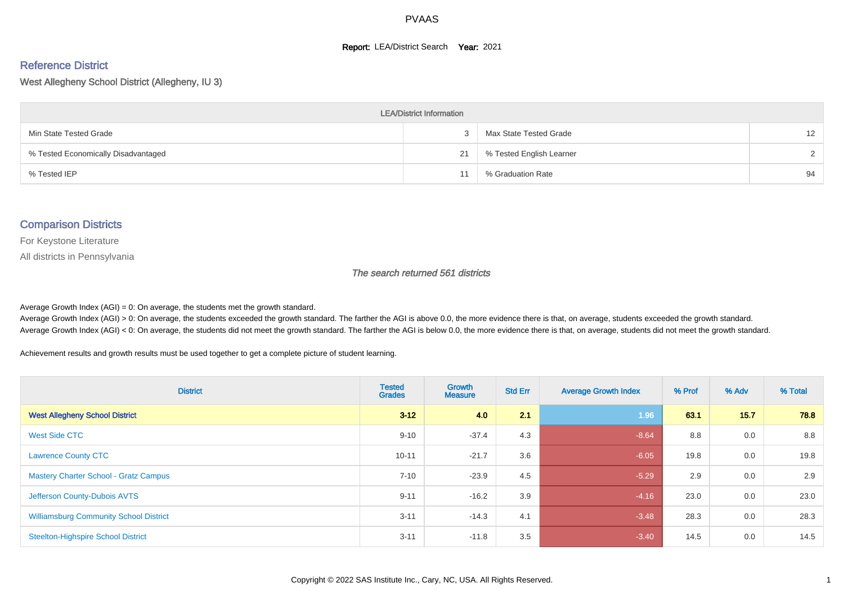#### **Report: LEA/District Search Year: 2021**

# Reference District

West Allegheny School District (Allegheny, IU 3)

| <b>LEA/District Information</b>     |    |                          |    |  |  |  |  |  |  |  |
|-------------------------------------|----|--------------------------|----|--|--|--|--|--|--|--|
| Min State Tested Grade              |    | Max State Tested Grade   | 12 |  |  |  |  |  |  |  |
| % Tested Economically Disadvantaged | 21 | % Tested English Learner |    |  |  |  |  |  |  |  |
| % Tested IEP                        |    | % Graduation Rate        | 94 |  |  |  |  |  |  |  |

#### Comparison Districts

For Keystone Literature

All districts in Pennsylvania

The search returned 561 districts

Average Growth Index  $(AGI) = 0$ : On average, the students met the growth standard.

Average Growth Index (AGI) > 0: On average, the students exceeded the growth standard. The farther the AGI is above 0.0, the more evidence there is that, on average, students exceeded the growth standard. Average Growth Index (AGI) < 0: On average, the students did not meet the growth standard. The farther the AGI is below 0.0, the more evidence there is that, on average, students did not meet the growth standard.

Achievement results and growth results must be used together to get a complete picture of student learning.

| <b>District</b>                               | <b>Tested</b><br><b>Grades</b> | Growth<br><b>Measure</b> | <b>Std Err</b> | <b>Average Growth Index</b> | % Prof | % Adv | % Total |
|-----------------------------------------------|--------------------------------|--------------------------|----------------|-----------------------------|--------|-------|---------|
| <b>West Allegheny School District</b>         | $3 - 12$                       | 4.0                      | 2.1            | 1.96                        | 63.1   | 15.7  | 78.8    |
| <b>West Side CTC</b>                          | $9 - 10$                       | $-37.4$                  | 4.3            | $-8.64$                     | 8.8    | 0.0   | 8.8     |
| <b>Lawrence County CTC</b>                    | $10 - 11$                      | $-21.7$                  | 3.6            | $-6.05$                     | 19.8   | 0.0   | 19.8    |
| <b>Mastery Charter School - Gratz Campus</b>  | $7 - 10$                       | $-23.9$                  | 4.5            | $-5.29$                     | 2.9    | 0.0   | 2.9     |
| Jefferson County-Dubois AVTS                  | $9 - 11$                       | $-16.2$                  | 3.9            | $-4.16$                     | 23.0   | 0.0   | 23.0    |
| <b>Williamsburg Community School District</b> | $3 - 11$                       | $-14.3$                  | 4.1            | $-3.48$                     | 28.3   | 0.0   | 28.3    |
| <b>Steelton-Highspire School District</b>     | $3 - 11$                       | $-11.8$                  | 3.5            | $-3.40$                     | 14.5   | 0.0   | 14.5    |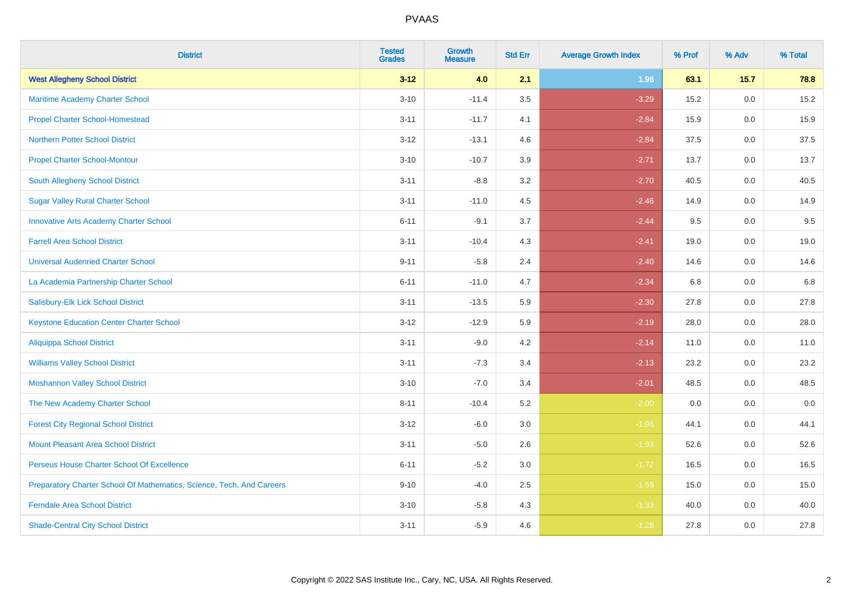| <b>District</b>                                                       | <b>Tested</b><br><b>Grades</b> | <b>Growth</b><br><b>Measure</b> | <b>Std Err</b> | <b>Average Growth Index</b> | % Prof | % Adv   | % Total |
|-----------------------------------------------------------------------|--------------------------------|---------------------------------|----------------|-----------------------------|--------|---------|---------|
| <b>West Allegheny School District</b>                                 | $3 - 12$                       | 4.0                             | 2.1            | 1.96                        | 63.1   | 15.7    | 78.8    |
| Maritime Academy Charter School                                       | $3 - 10$                       | $-11.4$                         | $3.5\,$        | $-3.29$                     | 15.2   | 0.0     | 15.2    |
| <b>Propel Charter School-Homestead</b>                                | $3 - 11$                       | $-11.7$                         | 4.1            | $-2.84$                     | 15.9   | 0.0     | 15.9    |
| <b>Northern Potter School District</b>                                | $3 - 12$                       | $-13.1$                         | 4.6            | $-2.84$                     | 37.5   | 0.0     | 37.5    |
| <b>Propel Charter School-Montour</b>                                  | $3 - 10$                       | $-10.7$                         | 3.9            | $-2.71$                     | 13.7   | 0.0     | 13.7    |
| South Allegheny School District                                       | $3 - 11$                       | $-8.8$                          | 3.2            | $-2.70$                     | 40.5   | 0.0     | 40.5    |
| <b>Sugar Valley Rural Charter School</b>                              | $3 - 11$                       | $-11.0$                         | 4.5            | $-2.46$                     | 14.9   | 0.0     | 14.9    |
| <b>Innovative Arts Academy Charter School</b>                         | $6 - 11$                       | $-9.1$                          | 3.7            | $-2.44$                     | 9.5    | 0.0     | 9.5     |
| <b>Farrell Area School District</b>                                   | $3 - 11$                       | $-10.4$                         | 4.3            | $-2.41$                     | 19.0   | 0.0     | 19.0    |
| <b>Universal Audenried Charter School</b>                             | $9 - 11$                       | $-5.8$                          | 2.4            | $-2.40$                     | 14.6   | 0.0     | 14.6    |
| La Academia Partnership Charter School                                | $6 - 11$                       | $-11.0$                         | 4.7            | $-2.34$                     | 6.8    | 0.0     | 6.8     |
| Salisbury-Elk Lick School District                                    | $3 - 11$                       | $-13.5$                         | 5.9            | $-2.30$                     | 27.8   | 0.0     | 27.8    |
| <b>Keystone Education Center Charter School</b>                       | $3-12$                         | $-12.9$                         | 5.9            | $-2.19$                     | 28.0   | 0.0     | 28.0    |
| <b>Aliquippa School District</b>                                      | $3 - 11$                       | $-9.0$                          | 4.2            | $-2.14$                     | 11.0   | 0.0     | 11.0    |
| <b>Williams Valley School District</b>                                | $3 - 11$                       | $-7.3$                          | 3.4            | $-2.13$                     | 23.2   | 0.0     | 23.2    |
| <b>Moshannon Valley School District</b>                               | $3 - 10$                       | $-7.0$                          | 3.4            | $-2.01$                     | 48.5   | $0.0\,$ | 48.5    |
| The New Academy Charter School                                        | $8 - 11$                       | $-10.4$                         | 5.2            | $-2.00$                     | 0.0    | 0.0     | 0.0     |
| <b>Forest City Regional School District</b>                           | $3 - 12$                       | $-6.0$                          | 3.0            | $-1.96$                     | 44.1   | 0.0     | 44.1    |
| <b>Mount Pleasant Area School District</b>                            | $3 - 11$                       | $-5.0$                          | 2.6            | $-1.93$                     | 52.6   | 0.0     | 52.6    |
| Perseus House Charter School Of Excellence                            | $6 - 11$                       | $-5.2$                          | 3.0            | $-1.72$                     | 16.5   | 0.0     | 16.5    |
| Preparatory Charter School Of Mathematics, Science, Tech, And Careers | $9 - 10$                       | $-4.0$                          | 2.5            | $-1.59$                     | 15.0   | 0.0     | 15.0    |
| <b>Ferndale Area School District</b>                                  | $3 - 10$                       | $-5.8$                          | 4.3            | $-1.33$                     | 40.0   | 0.0     | 40.0    |
| <b>Shade-Central City School District</b>                             | $3 - 11$                       | $-5.9$                          | 4.6            | $-1.28$                     | 27.8   | 0.0     | 27.8    |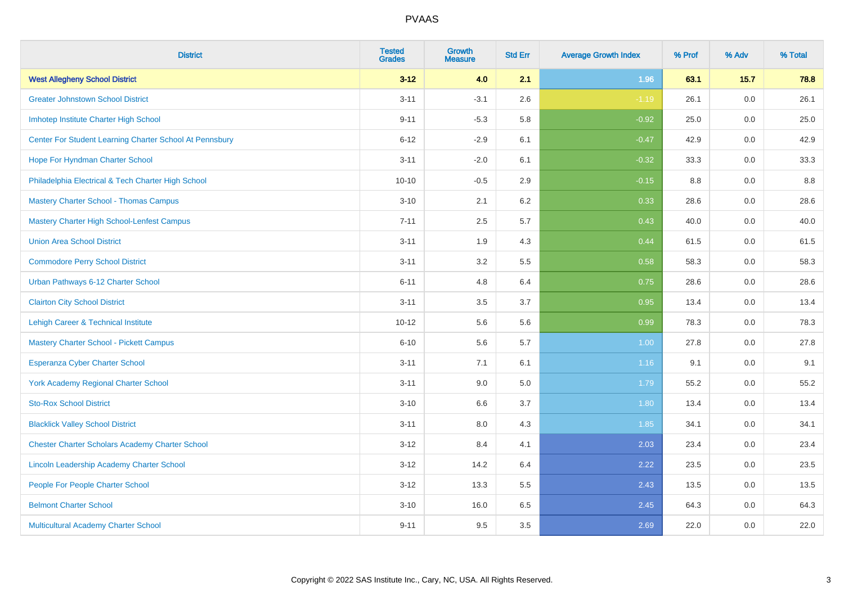| <b>District</b>                                         | <b>Tested</b><br><b>Grades</b> | <b>Growth</b><br><b>Measure</b> | <b>Std Err</b> | <b>Average Growth Index</b> | % Prof | % Adv | % Total |
|---------------------------------------------------------|--------------------------------|---------------------------------|----------------|-----------------------------|--------|-------|---------|
| <b>West Allegheny School District</b>                   | $3 - 12$                       | 4.0                             | 2.1            | 1.96                        | 63.1   | 15.7  | 78.8    |
| <b>Greater Johnstown School District</b>                | $3 - 11$                       | $-3.1$                          | 2.6            | $-1.19$                     | 26.1   | 0.0   | 26.1    |
| Imhotep Institute Charter High School                   | $9 - 11$                       | $-5.3$                          | 5.8            | $-0.92$                     | 25.0   | 0.0   | 25.0    |
| Center For Student Learning Charter School At Pennsbury | $6 - 12$                       | $-2.9$                          | 6.1            | $-0.47$                     | 42.9   | 0.0   | 42.9    |
| Hope For Hyndman Charter School                         | $3 - 11$                       | $-2.0$                          | 6.1            | $-0.32$                     | 33.3   | 0.0   | 33.3    |
| Philadelphia Electrical & Tech Charter High School      | $10 - 10$                      | $-0.5$                          | 2.9            | $-0.15$                     | 8.8    | 0.0   | 8.8     |
| <b>Mastery Charter School - Thomas Campus</b>           | $3 - 10$                       | 2.1                             | 6.2            | 0.33                        | 28.6   | 0.0   | 28.6    |
| Mastery Charter High School-Lenfest Campus              | $7 - 11$                       | 2.5                             | 5.7            | 0.43                        | 40.0   | 0.0   | 40.0    |
| <b>Union Area School District</b>                       | $3 - 11$                       | 1.9                             | 4.3            | 0.44                        | 61.5   | 0.0   | 61.5    |
| <b>Commodore Perry School District</b>                  | $3 - 11$                       | 3.2                             | 5.5            | 0.58                        | 58.3   | 0.0   | 58.3    |
| Urban Pathways 6-12 Charter School                      | $6 - 11$                       | 4.8                             | 6.4            | 0.75                        | 28.6   | 0.0   | 28.6    |
| <b>Clairton City School District</b>                    | $3 - 11$                       | 3.5                             | 3.7            | 0.95                        | 13.4   | 0.0   | 13.4    |
| Lehigh Career & Technical Institute                     | $10 - 12$                      | 5.6                             | 5.6            | 0.99                        | 78.3   | 0.0   | 78.3    |
| <b>Mastery Charter School - Pickett Campus</b>          | $6 - 10$                       | 5.6                             | 5.7            | 1.00                        | 27.8   | 0.0   | 27.8    |
| Esperanza Cyber Charter School                          | $3 - 11$                       | 7.1                             | 6.1            | 1.16                        | 9.1    | 0.0   | 9.1     |
| <b>York Academy Regional Charter School</b>             | $3 - 11$                       | 9.0                             | 5.0            | 1.79                        | 55.2   | 0.0   | 55.2    |
| <b>Sto-Rox School District</b>                          | $3 - 10$                       | 6.6                             | 3.7            | 1.80                        | 13.4   | 0.0   | 13.4    |
| <b>Blacklick Valley School District</b>                 | $3 - 11$                       | 8.0                             | 4.3            | 1.85                        | 34.1   | 0.0   | 34.1    |
| <b>Chester Charter Scholars Academy Charter School</b>  | $3 - 12$                       | 8.4                             | 4.1            | 2.03                        | 23.4   | 0.0   | 23.4    |
| Lincoln Leadership Academy Charter School               | $3 - 12$                       | 14.2                            | 6.4            | 2.22                        | 23.5   | 0.0   | 23.5    |
| People For People Charter School                        | $3 - 12$                       | 13.3                            | 5.5            | 2.43                        | 13.5   | 0.0   | 13.5    |
| <b>Belmont Charter School</b>                           | $3 - 10$                       | 16.0                            | 6.5            | 2.45                        | 64.3   | 0.0   | 64.3    |
| Multicultural Academy Charter School                    | $9 - 11$                       | 9.5                             | 3.5            | 2.69                        | 22.0   | 0.0   | 22.0    |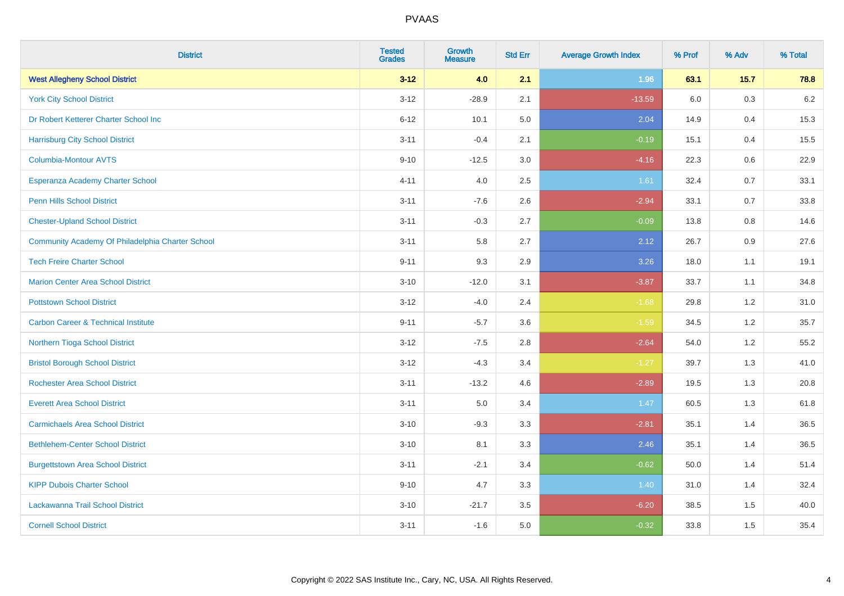| <b>District</b>                                  | <b>Tested</b><br><b>Grades</b> | <b>Growth</b><br><b>Measure</b> | <b>Std Err</b> | <b>Average Growth Index</b> | % Prof | % Adv | % Total |
|--------------------------------------------------|--------------------------------|---------------------------------|----------------|-----------------------------|--------|-------|---------|
| <b>West Allegheny School District</b>            | $3 - 12$                       | 4.0                             | 2.1            | 1.96                        | 63.1   | 15.7  | 78.8    |
| <b>York City School District</b>                 | $3 - 12$                       | $-28.9$                         | 2.1            | $-13.59$                    | 6.0    | 0.3   | $6.2\,$ |
| Dr Robert Ketterer Charter School Inc            | $6 - 12$                       | 10.1                            | 5.0            | 2.04                        | 14.9   | 0.4   | 15.3    |
| <b>Harrisburg City School District</b>           | $3 - 11$                       | $-0.4$                          | 2.1            | $-0.19$                     | 15.1   | 0.4   | 15.5    |
| <b>Columbia-Montour AVTS</b>                     | $9 - 10$                       | $-12.5$                         | 3.0            | $-4.16$                     | 22.3   | 0.6   | 22.9    |
| Esperanza Academy Charter School                 | $4 - 11$                       | 4.0                             | 2.5            | 1.61                        | 32.4   | 0.7   | 33.1    |
| <b>Penn Hills School District</b>                | $3 - 11$                       | $-7.6$                          | 2.6            | $-2.94$                     | 33.1   | 0.7   | 33.8    |
| <b>Chester-Upland School District</b>            | $3 - 11$                       | $-0.3$                          | 2.7            | $-0.09$                     | 13.8   | 0.8   | 14.6    |
| Community Academy Of Philadelphia Charter School | $3 - 11$                       | 5.8                             | 2.7            | 2.12                        | 26.7   | 0.9   | 27.6    |
| <b>Tech Freire Charter School</b>                | $9 - 11$                       | 9.3                             | 2.9            | 3.26                        | 18.0   | 1.1   | 19.1    |
| <b>Marion Center Area School District</b>        | $3 - 10$                       | $-12.0$                         | 3.1            | $-3.87$                     | 33.7   | 1.1   | 34.8    |
| <b>Pottstown School District</b>                 | $3 - 12$                       | $-4.0$                          | 2.4            | $-1.68$                     | 29.8   | 1.2   | 31.0    |
| <b>Carbon Career &amp; Technical Institute</b>   | $9 - 11$                       | $-5.7$                          | 3.6            | $-1.59$                     | 34.5   | 1.2   | 35.7    |
| Northern Tioga School District                   | $3 - 12$                       | $-7.5$                          | 2.8            | $-2.64$                     | 54.0   | 1.2   | 55.2    |
| <b>Bristol Borough School District</b>           | $3 - 12$                       | $-4.3$                          | 3.4            | $-1.27$                     | 39.7   | 1.3   | 41.0    |
| <b>Rochester Area School District</b>            | $3 - 11$                       | $-13.2$                         | 4.6            | $-2.89$                     | 19.5   | 1.3   | 20.8    |
| <b>Everett Area School District</b>              | $3 - 11$                       | 5.0                             | 3.4            | 1.47                        | 60.5   | 1.3   | 61.8    |
| <b>Carmichaels Area School District</b>          | $3 - 10$                       | $-9.3$                          | 3.3            | $-2.81$                     | 35.1   | 1.4   | 36.5    |
| <b>Bethlehem-Center School District</b>          | $3 - 10$                       | 8.1                             | 3.3            | 2.46                        | 35.1   | 1.4   | 36.5    |
| <b>Burgettstown Area School District</b>         | $3 - 11$                       | $-2.1$                          | 3.4            | $-0.62$                     | 50.0   | 1.4   | 51.4    |
| <b>KIPP Dubois Charter School</b>                | $9 - 10$                       | 4.7                             | 3.3            | 1.40                        | 31.0   | 1.4   | 32.4    |
| Lackawanna Trail School District                 | $3 - 10$                       | $-21.7$                         | 3.5            | $-6.20$                     | 38.5   | 1.5   | 40.0    |
| <b>Cornell School District</b>                   | $3 - 11$                       | $-1.6$                          | 5.0            | $-0.32$                     | 33.8   | 1.5   | 35.4    |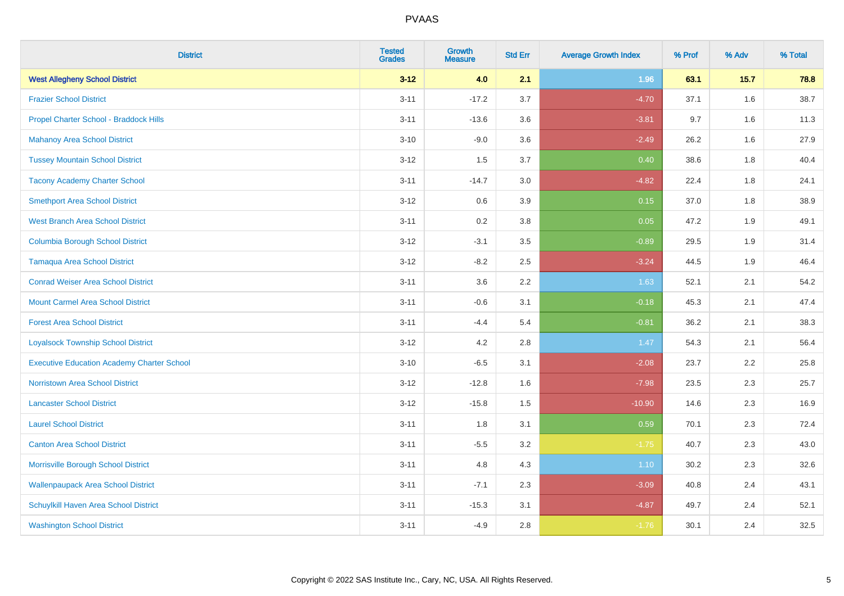| <b>District</b>                                   | <b>Tested</b><br><b>Grades</b> | <b>Growth</b><br><b>Measure</b> | <b>Std Err</b> | <b>Average Growth Index</b> | % Prof | % Adv | % Total |
|---------------------------------------------------|--------------------------------|---------------------------------|----------------|-----------------------------|--------|-------|---------|
| <b>West Allegheny School District</b>             | $3 - 12$                       | 4.0                             | 2.1            | 1.96                        | 63.1   | 15.7  | 78.8    |
| <b>Frazier School District</b>                    | $3 - 11$                       | $-17.2$                         | 3.7            | $-4.70$                     | 37.1   | 1.6   | 38.7    |
| Propel Charter School - Braddock Hills            | $3 - 11$                       | $-13.6$                         | 3.6            | $-3.81$                     | 9.7    | 1.6   | 11.3    |
| <b>Mahanoy Area School District</b>               | $3 - 10$                       | $-9.0$                          | 3.6            | $-2.49$                     | 26.2   | 1.6   | 27.9    |
| <b>Tussey Mountain School District</b>            | $3 - 12$                       | 1.5                             | 3.7            | 0.40                        | 38.6   | 1.8   | 40.4    |
| <b>Tacony Academy Charter School</b>              | $3 - 11$                       | $-14.7$                         | 3.0            | $-4.82$                     | 22.4   | 1.8   | 24.1    |
| <b>Smethport Area School District</b>             | $3 - 12$                       | 0.6                             | 3.9            | 0.15                        | 37.0   | 1.8   | 38.9    |
| <b>West Branch Area School District</b>           | $3 - 11$                       | 0.2                             | 3.8            | 0.05                        | 47.2   | 1.9   | 49.1    |
| <b>Columbia Borough School District</b>           | $3 - 12$                       | $-3.1$                          | 3.5            | $-0.89$                     | 29.5   | 1.9   | 31.4    |
| <b>Tamaqua Area School District</b>               | $3 - 12$                       | $-8.2$                          | 2.5            | $-3.24$                     | 44.5   | 1.9   | 46.4    |
| <b>Conrad Weiser Area School District</b>         | $3 - 11$                       | 3.6                             | 2.2            | 1.63                        | 52.1   | 2.1   | 54.2    |
| <b>Mount Carmel Area School District</b>          | $3 - 11$                       | $-0.6$                          | 3.1            | $-0.18$                     | 45.3   | 2.1   | 47.4    |
| <b>Forest Area School District</b>                | $3 - 11$                       | $-4.4$                          | 5.4            | $-0.81$                     | 36.2   | 2.1   | 38.3    |
| <b>Loyalsock Township School District</b>         | $3 - 12$                       | 4.2                             | 2.8            | 1.47                        | 54.3   | 2.1   | 56.4    |
| <b>Executive Education Academy Charter School</b> | $3 - 10$                       | $-6.5$                          | 3.1            | $-2.08$                     | 23.7   | 2.2   | 25.8    |
| Norristown Area School District                   | $3 - 12$                       | $-12.8$                         | 1.6            | $-7.98$                     | 23.5   | 2.3   | 25.7    |
| <b>Lancaster School District</b>                  | $3 - 12$                       | $-15.8$                         | 1.5            | $-10.90$                    | 14.6   | 2.3   | 16.9    |
| <b>Laurel School District</b>                     | $3 - 11$                       | 1.8                             | 3.1            | 0.59                        | 70.1   | 2.3   | 72.4    |
| <b>Canton Area School District</b>                | $3 - 11$                       | $-5.5$                          | 3.2            | $-1.75$                     | 40.7   | 2.3   | 43.0    |
| Morrisville Borough School District               | $3 - 11$                       | 4.8                             | 4.3            | 1.10                        | 30.2   | 2.3   | 32.6    |
| <b>Wallenpaupack Area School District</b>         | $3 - 11$                       | $-7.1$                          | 2.3            | $-3.09$                     | 40.8   | 2.4   | 43.1    |
| Schuylkill Haven Area School District             | $3 - 11$                       | $-15.3$                         | 3.1            | $-4.87$                     | 49.7   | 2.4   | 52.1    |
| <b>Washington School District</b>                 | $3 - 11$                       | $-4.9$                          | 2.8            | $-1.76$                     | 30.1   | 2.4   | 32.5    |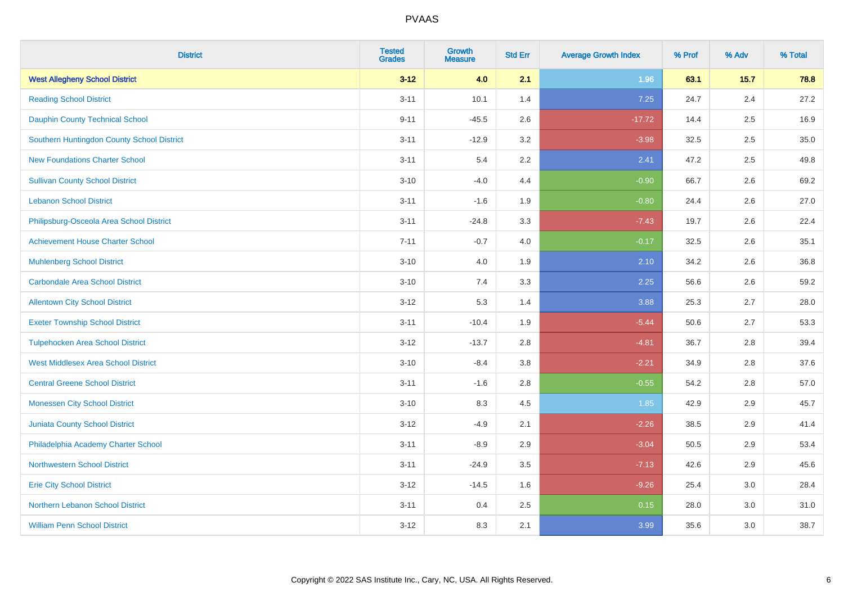| <b>District</b>                            | <b>Tested</b><br><b>Grades</b> | <b>Growth</b><br><b>Measure</b> | <b>Std Err</b> | <b>Average Growth Index</b> | % Prof | % Adv   | % Total |
|--------------------------------------------|--------------------------------|---------------------------------|----------------|-----------------------------|--------|---------|---------|
| <b>West Allegheny School District</b>      | $3 - 12$                       | 4.0                             | 2.1            | 1.96                        | 63.1   | 15.7    | 78.8    |
| <b>Reading School District</b>             | $3 - 11$                       | 10.1                            | 1.4            | 7.25                        | 24.7   | 2.4     | 27.2    |
| <b>Dauphin County Technical School</b>     | $9 - 11$                       | $-45.5$                         | 2.6            | $-17.72$                    | 14.4   | 2.5     | 16.9    |
| Southern Huntingdon County School District | $3 - 11$                       | $-12.9$                         | 3.2            | $-3.98$                     | 32.5   | 2.5     | 35.0    |
| <b>New Foundations Charter School</b>      | $3 - 11$                       | 5.4                             | 2.2            | 2.41                        | 47.2   | 2.5     | 49.8    |
| <b>Sullivan County School District</b>     | $3 - 10$                       | $-4.0$                          | 4.4            | $-0.90$                     | 66.7   | 2.6     | 69.2    |
| <b>Lebanon School District</b>             | $3 - 11$                       | $-1.6$                          | 1.9            | $-0.80$                     | 24.4   | 2.6     | 27.0    |
| Philipsburg-Osceola Area School District   | $3 - 11$                       | $-24.8$                         | 3.3            | $-7.43$                     | 19.7   | 2.6     | 22.4    |
| <b>Achievement House Charter School</b>    | $7 - 11$                       | $-0.7$                          | 4.0            | $-0.17$                     | 32.5   | 2.6     | 35.1    |
| <b>Muhlenberg School District</b>          | $3 - 10$                       | 4.0                             | 1.9            | 2.10                        | 34.2   | $2.6\,$ | 36.8    |
| <b>Carbondale Area School District</b>     | $3 - 10$                       | 7.4                             | 3.3            | 2.25                        | 56.6   | 2.6     | 59.2    |
| <b>Allentown City School District</b>      | $3 - 12$                       | 5.3                             | 1.4            | 3.88                        | 25.3   | 2.7     | 28.0    |
| <b>Exeter Township School District</b>     | $3 - 11$                       | $-10.4$                         | 1.9            | $-5.44$                     | 50.6   | 2.7     | 53.3    |
| <b>Tulpehocken Area School District</b>    | $3 - 12$                       | $-13.7$                         | 2.8            | $-4.81$                     | 36.7   | 2.8     | 39.4    |
| <b>West Middlesex Area School District</b> | $3 - 10$                       | $-8.4$                          | $3.8\,$        | $-2.21$                     | 34.9   | 2.8     | 37.6    |
| <b>Central Greene School District</b>      | $3 - 11$                       | $-1.6$                          | 2.8            | $-0.55$                     | 54.2   | 2.8     | 57.0    |
| <b>Monessen City School District</b>       | $3 - 10$                       | 8.3                             | 4.5            | 1.85                        | 42.9   | 2.9     | 45.7    |
| Juniata County School District             | $3 - 12$                       | $-4.9$                          | 2.1            | $-2.26$                     | 38.5   | 2.9     | 41.4    |
| Philadelphia Academy Charter School        | $3 - 11$                       | $-8.9$                          | 2.9            | $-3.04$                     | 50.5   | 2.9     | 53.4    |
| <b>Northwestern School District</b>        | $3 - 11$                       | $-24.9$                         | 3.5            | $-7.13$                     | 42.6   | 2.9     | 45.6    |
| <b>Erie City School District</b>           | $3 - 12$                       | $-14.5$                         | 1.6            | $-9.26$                     | 25.4   | 3.0     | 28.4    |
| Northern Lebanon School District           | $3 - 11$                       | 0.4                             | 2.5            | 0.15                        | 28.0   | 3.0     | 31.0    |
| <b>William Penn School District</b>        | $3 - 12$                       | 8.3                             | 2.1            | 3.99                        | 35.6   | 3.0     | 38.7    |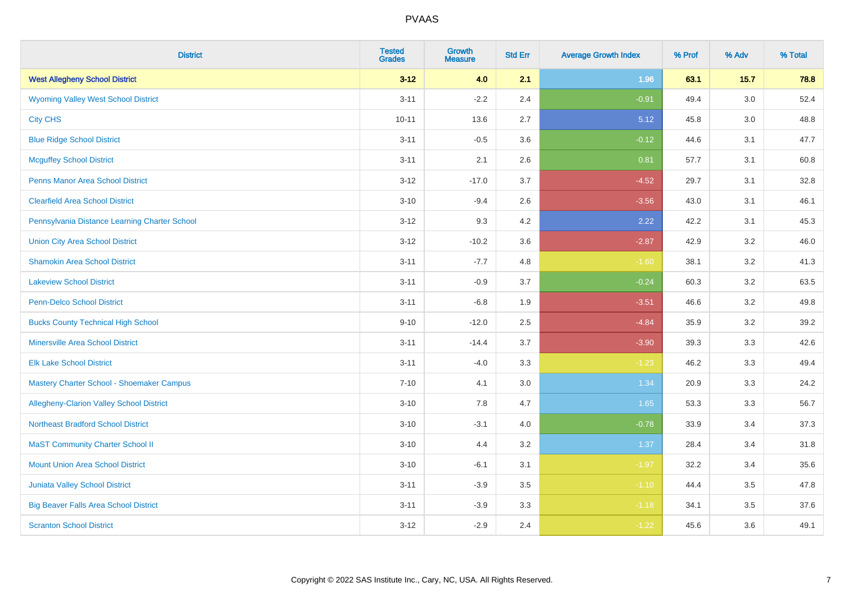| <b>District</b>                                 | <b>Tested</b><br><b>Grades</b> | <b>Growth</b><br><b>Measure</b> | <b>Std Err</b> | <b>Average Growth Index</b> | % Prof | % Adv  | % Total |
|-------------------------------------------------|--------------------------------|---------------------------------|----------------|-----------------------------|--------|--------|---------|
| <b>West Allegheny School District</b>           | $3 - 12$                       | 4.0                             | 2.1            | 1.96                        | 63.1   | $15.7$ | 78.8    |
| <b>Wyoming Valley West School District</b>      | $3 - 11$                       | $-2.2$                          | 2.4            | $-0.91$                     | 49.4   | 3.0    | 52.4    |
| <b>City CHS</b>                                 | $10 - 11$                      | 13.6                            | 2.7            | 5.12                        | 45.8   | 3.0    | 48.8    |
| <b>Blue Ridge School District</b>               | $3 - 11$                       | $-0.5$                          | 3.6            | $-0.12$                     | 44.6   | 3.1    | 47.7    |
| <b>Mcguffey School District</b>                 | $3 - 11$                       | 2.1                             | 2.6            | 0.81                        | 57.7   | 3.1    | 60.8    |
| <b>Penns Manor Area School District</b>         | $3 - 12$                       | $-17.0$                         | 3.7            | $-4.52$                     | 29.7   | 3.1    | 32.8    |
| <b>Clearfield Area School District</b>          | $3 - 10$                       | $-9.4$                          | 2.6            | $-3.56$                     | 43.0   | 3.1    | 46.1    |
| Pennsylvania Distance Learning Charter School   | $3 - 12$                       | 9.3                             | 4.2            | 2.22                        | 42.2   | 3.1    | 45.3    |
| <b>Union City Area School District</b>          | $3 - 12$                       | $-10.2$                         | 3.6            | $-2.87$                     | 42.9   | 3.2    | 46.0    |
| <b>Shamokin Area School District</b>            | $3 - 11$                       | $-7.7$                          | 4.8            | $-1.60$                     | 38.1   | 3.2    | 41.3    |
| <b>Lakeview School District</b>                 | $3 - 11$                       | $-0.9$                          | 3.7            | $-0.24$                     | 60.3   | 3.2    | 63.5    |
| <b>Penn-Delco School District</b>               | $3 - 11$                       | $-6.8$                          | 1.9            | $-3.51$                     | 46.6   | 3.2    | 49.8    |
| <b>Bucks County Technical High School</b>       | $9 - 10$                       | $-12.0$                         | 2.5            | $-4.84$                     | 35.9   | 3.2    | 39.2    |
| <b>Minersville Area School District</b>         | $3 - 11$                       | $-14.4$                         | 3.7            | $-3.90$                     | 39.3   | 3.3    | 42.6    |
| <b>Elk Lake School District</b>                 | $3 - 11$                       | $-4.0$                          | 3.3            | $-1.23$                     | 46.2   | 3.3    | 49.4    |
| Mastery Charter School - Shoemaker Campus       | $7 - 10$                       | 4.1                             | 3.0            | 1.34                        | 20.9   | 3.3    | 24.2    |
| <b>Allegheny-Clarion Valley School District</b> | $3 - 10$                       | 7.8                             | 4.7            | 1.65                        | 53.3   | 3.3    | 56.7    |
| <b>Northeast Bradford School District</b>       | $3 - 10$                       | $-3.1$                          | 4.0            | $-0.78$                     | 33.9   | 3.4    | 37.3    |
| <b>MaST Community Charter School II</b>         | $3 - 10$                       | 4.4                             | 3.2            | 1.37                        | 28.4   | 3.4    | 31.8    |
| <b>Mount Union Area School District</b>         | $3 - 10$                       | $-6.1$                          | 3.1            | $-1.97$                     | 32.2   | 3.4    | 35.6    |
| <b>Juniata Valley School District</b>           | $3 - 11$                       | $-3.9$                          | 3.5            | $-1.10$                     | 44.4   | 3.5    | 47.8    |
| <b>Big Beaver Falls Area School District</b>    | $3 - 11$                       | $-3.9$                          | 3.3            | $-1.18$                     | 34.1   | 3.5    | 37.6    |
| <b>Scranton School District</b>                 | $3 - 12$                       | $-2.9$                          | 2.4            | $-1.22$                     | 45.6   | 3.6    | 49.1    |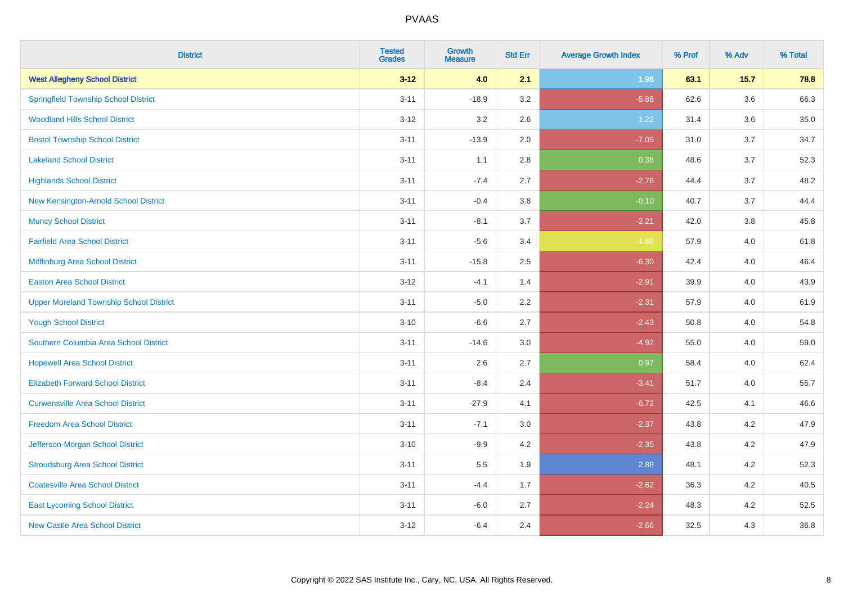| <b>District</b>                                | <b>Tested</b><br><b>Grades</b> | <b>Growth</b><br><b>Measure</b> | <b>Std Err</b> | <b>Average Growth Index</b> | % Prof | % Adv   | % Total |
|------------------------------------------------|--------------------------------|---------------------------------|----------------|-----------------------------|--------|---------|---------|
| <b>West Allegheny School District</b>          | $3 - 12$                       | 4.0                             | 2.1            | 1.96                        | 63.1   | 15.7    | 78.8    |
| <b>Springfield Township School District</b>    | $3 - 11$                       | $-18.9$                         | 3.2            | $-5.88$                     | 62.6   | $3.6\,$ | 66.3    |
| <b>Woodland Hills School District</b>          | $3 - 12$                       | 3.2                             | 2.6            | 1.22                        | 31.4   | 3.6     | 35.0    |
| <b>Bristol Township School District</b>        | $3 - 11$                       | $-13.9$                         | 2.0            | $-7.05$                     | 31.0   | 3.7     | 34.7    |
| <b>Lakeland School District</b>                | $3 - 11$                       | 1.1                             | 2.8            | 0.38                        | 48.6   | 3.7     | 52.3    |
| <b>Highlands School District</b>               | $3 - 11$                       | $-7.4$                          | 2.7            | $-2.76$                     | 44.4   | 3.7     | 48.2    |
| New Kensington-Arnold School District          | $3 - 11$                       | $-0.4$                          | 3.8            | $-0.10$                     | 40.7   | 3.7     | 44.4    |
| <b>Muncy School District</b>                   | $3 - 11$                       | $-8.1$                          | 3.7            | $-2.21$                     | 42.0   | 3.8     | 45.8    |
| <b>Fairfield Area School District</b>          | $3 - 11$                       | $-5.6$                          | 3.4            | $-1.66$                     | 57.9   | 4.0     | 61.8    |
| Mifflinburg Area School District               | $3 - 11$                       | $-15.8$                         | 2.5            | $-6.30$                     | 42.4   | 4.0     | 46.4    |
| <b>Easton Area School District</b>             | $3 - 12$                       | $-4.1$                          | 1.4            | $-2.91$                     | 39.9   | 4.0     | 43.9    |
| <b>Upper Moreland Township School District</b> | $3 - 11$                       | $-5.0$                          | 2.2            | $-2.31$                     | 57.9   | 4.0     | 61.9    |
| <b>Yough School District</b>                   | $3 - 10$                       | $-6.6$                          | 2.7            | $-2.43$                     | 50.8   | 4.0     | 54.8    |
| Southern Columbia Area School District         | $3 - 11$                       | $-14.6$                         | 3.0            | $-4.92$                     | 55.0   | 4.0     | 59.0    |
| <b>Hopewell Area School District</b>           | $3 - 11$                       | 2.6                             | 2.7            | 0.97                        | 58.4   | 4.0     | 62.4    |
| <b>Elizabeth Forward School District</b>       | $3 - 11$                       | $-8.4$                          | 2.4            | $-3.41$                     | 51.7   | 4.0     | 55.7    |
| <b>Curwensville Area School District</b>       | $3 - 11$                       | $-27.9$                         | 4.1            | $-6.72$                     | 42.5   | 4.1     | 46.6    |
| <b>Freedom Area School District</b>            | $3 - 11$                       | $-7.1$                          | 3.0            | $-2.37$                     | 43.8   | 4.2     | 47.9    |
| Jefferson-Morgan School District               | $3 - 10$                       | $-9.9$                          | 4.2            | $-2.35$                     | 43.8   | 4.2     | 47.9    |
| <b>Stroudsburg Area School District</b>        | $3 - 11$                       | $5.5\,$                         | 1.9            | 2.88                        | 48.1   | 4.2     | 52.3    |
| <b>Coatesville Area School District</b>        | $3 - 11$                       | $-4.4$                          | 1.7            | $-2.62$                     | 36.3   | 4.2     | 40.5    |
| <b>East Lycoming School District</b>           | $3 - 11$                       | $-6.0$                          | 2.7            | $-2.24$                     | 48.3   | 4.2     | 52.5    |
| <b>New Castle Area School District</b>         | $3 - 12$                       | $-6.4$                          | 2.4            | $-2.66$                     | 32.5   | 4.3     | 36.8    |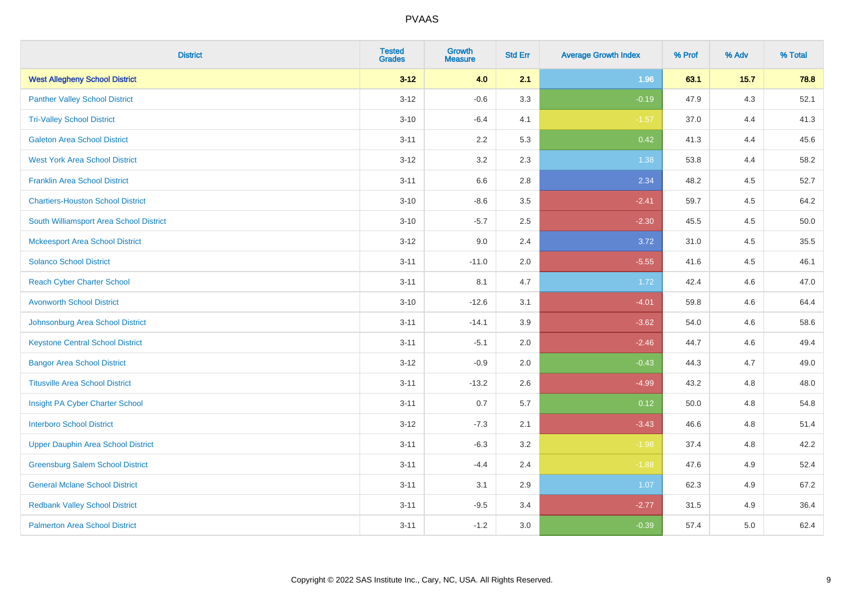| <b>District</b>                           | <b>Tested</b><br><b>Grades</b> | <b>Growth</b><br><b>Measure</b> | <b>Std Err</b> | <b>Average Growth Index</b> | % Prof | % Adv | % Total |
|-------------------------------------------|--------------------------------|---------------------------------|----------------|-----------------------------|--------|-------|---------|
| <b>West Allegheny School District</b>     | $3 - 12$                       | 4.0                             | 2.1            | 1.96                        | 63.1   | 15.7  | 78.8    |
| <b>Panther Valley School District</b>     | $3 - 12$                       | $-0.6$                          | 3.3            | $-0.19$                     | 47.9   | 4.3   | 52.1    |
| <b>Tri-Valley School District</b>         | $3 - 10$                       | $-6.4$                          | 4.1            | $-1.57$                     | 37.0   | 4.4   | 41.3    |
| <b>Galeton Area School District</b>       | $3 - 11$                       | 2.2                             | 5.3            | 0.42                        | 41.3   | 4.4   | 45.6    |
| <b>West York Area School District</b>     | $3 - 12$                       | 3.2                             | 2.3            | 1.38                        | 53.8   | 4.4   | 58.2    |
| <b>Franklin Area School District</b>      | $3 - 11$                       | 6.6                             | 2.8            | 2.34                        | 48.2   | 4.5   | 52.7    |
| <b>Chartiers-Houston School District</b>  | $3 - 10$                       | $-8.6$                          | 3.5            | $-2.41$                     | 59.7   | 4.5   | 64.2    |
| South Williamsport Area School District   | $3 - 10$                       | $-5.7$                          | 2.5            | $-2.30$                     | 45.5   | 4.5   | 50.0    |
| <b>Mckeesport Area School District</b>    | $3 - 12$                       | 9.0                             | 2.4            | 3.72                        | 31.0   | 4.5   | 35.5    |
| <b>Solanco School District</b>            | $3 - 11$                       | $-11.0$                         | 2.0            | $-5.55$                     | 41.6   | 4.5   | 46.1    |
| <b>Reach Cyber Charter School</b>         | $3 - 11$                       | 8.1                             | 4.7            | 1.72                        | 42.4   | 4.6   | 47.0    |
| <b>Avonworth School District</b>          | $3 - 10$                       | $-12.6$                         | 3.1            | $-4.01$                     | 59.8   | 4.6   | 64.4    |
| Johnsonburg Area School District          | $3 - 11$                       | $-14.1$                         | 3.9            | $-3.62$                     | 54.0   | 4.6   | 58.6    |
| <b>Keystone Central School District</b>   | $3 - 11$                       | $-5.1$                          | 2.0            | $-2.46$                     | 44.7   | 4.6   | 49.4    |
| <b>Bangor Area School District</b>        | $3 - 12$                       | $-0.9$                          | 2.0            | $-0.43$                     | 44.3   | 4.7   | 49.0    |
| <b>Titusville Area School District</b>    | $3 - 11$                       | $-13.2$                         | 2.6            | $-4.99$                     | 43.2   | 4.8   | 48.0    |
| Insight PA Cyber Charter School           | $3 - 11$                       | 0.7                             | 5.7            | 0.12                        | 50.0   | 4.8   | 54.8    |
| <b>Interboro School District</b>          | $3 - 12$                       | $-7.3$                          | 2.1            | $-3.43$                     | 46.6   | 4.8   | 51.4    |
| <b>Upper Dauphin Area School District</b> | $3 - 11$                       | $-6.3$                          | 3.2            | $-1.98$                     | 37.4   | 4.8   | 42.2    |
| <b>Greensburg Salem School District</b>   | $3 - 11$                       | $-4.4$                          | 2.4            | $-1.88$                     | 47.6   | 4.9   | 52.4    |
| <b>General Mclane School District</b>     | $3 - 11$                       | 3.1                             | 2.9            | 1.07                        | 62.3   | 4.9   | 67.2    |
| <b>Redbank Valley School District</b>     | $3 - 11$                       | $-9.5$                          | 3.4            | $-2.77$                     | 31.5   | 4.9   | 36.4    |
| <b>Palmerton Area School District</b>     | $3 - 11$                       | $-1.2$                          | 3.0            | $-0.39$                     | 57.4   | 5.0   | 62.4    |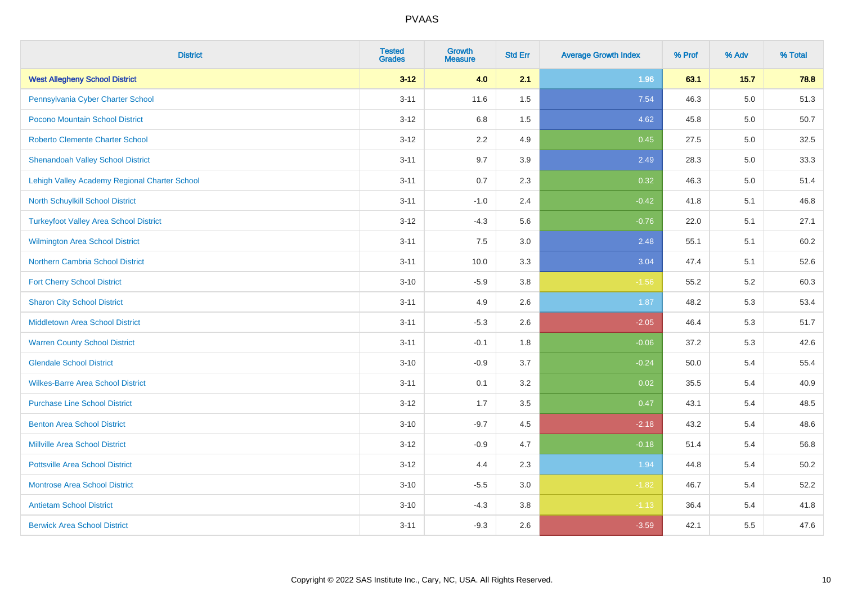| <b>District</b>                               | <b>Tested</b><br><b>Grades</b> | Growth<br><b>Measure</b> | <b>Std Err</b> | <b>Average Growth Index</b> | % Prof | % Adv   | % Total |
|-----------------------------------------------|--------------------------------|--------------------------|----------------|-----------------------------|--------|---------|---------|
| <b>West Allegheny School District</b>         | $3 - 12$                       | 4.0                      | 2.1            | 1.96                        | 63.1   | 15.7    | 78.8    |
| Pennsylvania Cyber Charter School             | $3 - 11$                       | 11.6                     | 1.5            | 7.54                        | 46.3   | $5.0\,$ | 51.3    |
| Pocono Mountain School District               | $3 - 12$                       | 6.8                      | 1.5            | 4.62                        | 45.8   | 5.0     | 50.7    |
| <b>Roberto Clemente Charter School</b>        | $3 - 12$                       | 2.2                      | 4.9            | 0.45                        | 27.5   | 5.0     | 32.5    |
| <b>Shenandoah Valley School District</b>      | $3 - 11$                       | 9.7                      | 3.9            | 2.49                        | 28.3   | 5.0     | 33.3    |
| Lehigh Valley Academy Regional Charter School | $3 - 11$                       | 0.7                      | 2.3            | 0.32                        | 46.3   | $5.0\,$ | 51.4    |
| North Schuylkill School District              | $3 - 11$                       | $-1.0$                   | 2.4            | $-0.42$                     | 41.8   | 5.1     | 46.8    |
| <b>Turkeyfoot Valley Area School District</b> | $3 - 12$                       | $-4.3$                   | 5.6            | $-0.76$                     | 22.0   | 5.1     | 27.1    |
| Wilmington Area School District               | $3 - 11$                       | 7.5                      | 3.0            | 2.48                        | 55.1   | 5.1     | 60.2    |
| Northern Cambria School District              | $3 - 11$                       | 10.0                     | 3.3            | 3.04                        | 47.4   | 5.1     | 52.6    |
| <b>Fort Cherry School District</b>            | $3 - 10$                       | $-5.9$                   | 3.8            | $-1.56$                     | 55.2   | 5.2     | 60.3    |
| <b>Sharon City School District</b>            | $3 - 11$                       | 4.9                      | 2.6            | 1.87                        | 48.2   | 5.3     | 53.4    |
| Middletown Area School District               | $3 - 11$                       | $-5.3$                   | 2.6            | $-2.05$                     | 46.4   | 5.3     | 51.7    |
| <b>Warren County School District</b>          | $3 - 11$                       | $-0.1$                   | 1.8            | $-0.06$                     | 37.2   | 5.3     | 42.6    |
| <b>Glendale School District</b>               | $3 - 10$                       | $-0.9$                   | 3.7            | $-0.24$                     | 50.0   | 5.4     | 55.4    |
| <b>Wilkes-Barre Area School District</b>      | $3 - 11$                       | 0.1                      | 3.2            | 0.02                        | 35.5   | 5.4     | 40.9    |
| <b>Purchase Line School District</b>          | $3 - 12$                       | 1.7                      | 3.5            | 0.47                        | 43.1   | 5.4     | 48.5    |
| <b>Benton Area School District</b>            | $3 - 10$                       | $-9.7$                   | 4.5            | $-2.18$                     | 43.2   | 5.4     | 48.6    |
| <b>Millville Area School District</b>         | $3 - 12$                       | $-0.9$                   | 4.7            | $-0.18$                     | 51.4   | 5.4     | 56.8    |
| <b>Pottsville Area School District</b>        | $3 - 12$                       | 4.4                      | 2.3            | 1.94                        | 44.8   | 5.4     | 50.2    |
| <b>Montrose Area School District</b>          | $3 - 10$                       | $-5.5$                   | 3.0            | $-1.82$                     | 46.7   | 5.4     | 52.2    |
| <b>Antietam School District</b>               | $3 - 10$                       | $-4.3$                   | 3.8            | $-1.13$                     | 36.4   | 5.4     | 41.8    |
| <b>Berwick Area School District</b>           | $3 - 11$                       | $-9.3$                   | 2.6            | $-3.59$                     | 42.1   | 5.5     | 47.6    |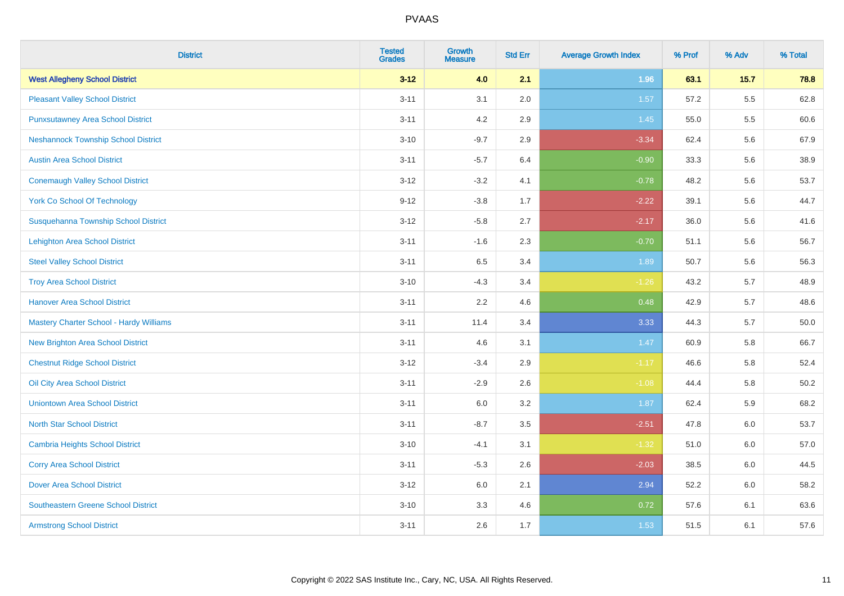| <b>District</b>                            | <b>Tested</b><br><b>Grades</b> | <b>Growth</b><br><b>Measure</b> | <b>Std Err</b> | <b>Average Growth Index</b> | % Prof | % Adv   | % Total |
|--------------------------------------------|--------------------------------|---------------------------------|----------------|-----------------------------|--------|---------|---------|
| <b>West Allegheny School District</b>      | $3 - 12$                       | 4.0                             | 2.1            | 1.96                        | 63.1   | 15.7    | 78.8    |
| <b>Pleasant Valley School District</b>     | $3 - 11$                       | 3.1                             | 2.0            | 1.57                        | 57.2   | $5.5\,$ | 62.8    |
| <b>Punxsutawney Area School District</b>   | $3 - 11$                       | 4.2                             | 2.9            | 1.45                        | 55.0   | 5.5     | 60.6    |
| <b>Neshannock Township School District</b> | $3 - 10$                       | $-9.7$                          | 2.9            | $-3.34$                     | 62.4   | 5.6     | 67.9    |
| <b>Austin Area School District</b>         | $3 - 11$                       | $-5.7$                          | 6.4            | $-0.90$                     | 33.3   | 5.6     | 38.9    |
| <b>Conemaugh Valley School District</b>    | $3-12$                         | $-3.2$                          | 4.1            | $-0.78$                     | 48.2   | 5.6     | 53.7    |
| <b>York Co School Of Technology</b>        | $9 - 12$                       | $-3.8$                          | 1.7            | $-2.22$                     | 39.1   | 5.6     | 44.7    |
| Susquehanna Township School District       | $3 - 12$                       | $-5.8$                          | 2.7            | $-2.17$                     | 36.0   | 5.6     | 41.6    |
| <b>Lehighton Area School District</b>      | $3 - 11$                       | $-1.6$                          | 2.3            | $-0.70$                     | 51.1   | 5.6     | 56.7    |
| <b>Steel Valley School District</b>        | $3 - 11$                       | 6.5                             | 3.4            | 1.89                        | 50.7   | 5.6     | 56.3    |
| <b>Troy Area School District</b>           | $3 - 10$                       | $-4.3$                          | 3.4            | $-1.26$                     | 43.2   | 5.7     | 48.9    |
| <b>Hanover Area School District</b>        | $3 - 11$                       | 2.2                             | 4.6            | 0.48                        | 42.9   | 5.7     | 48.6    |
| Mastery Charter School - Hardy Williams    | $3 - 11$                       | 11.4                            | 3.4            | 3.33                        | 44.3   | 5.7     | 50.0    |
| <b>New Brighton Area School District</b>   | $3 - 11$                       | 4.6                             | 3.1            | 1.47                        | 60.9   | 5.8     | 66.7    |
| <b>Chestnut Ridge School District</b>      | $3-12$                         | $-3.4$                          | 2.9            | $-1.17$                     | 46.6   | 5.8     | 52.4    |
| Oil City Area School District              | $3 - 11$                       | $-2.9$                          | 2.6            | $-1.08$                     | 44.4   | 5.8     | 50.2    |
| <b>Uniontown Area School District</b>      | $3 - 11$                       | 6.0                             | 3.2            | 1.87                        | 62.4   | 5.9     | 68.2    |
| <b>North Star School District</b>          | $3 - 11$                       | $-8.7$                          | 3.5            | $-2.51$                     | 47.8   | 6.0     | 53.7    |
| <b>Cambria Heights School District</b>     | $3 - 10$                       | $-4.1$                          | 3.1            | $-1.32$                     | 51.0   | 6.0     | 57.0    |
| <b>Corry Area School District</b>          | $3 - 11$                       | $-5.3$                          | 2.6            | $-2.03$                     | 38.5   | 6.0     | 44.5    |
| <b>Dover Area School District</b>          | $3 - 12$                       | 6.0                             | 2.1            | 2.94                        | 52.2   | 6.0     | 58.2    |
| <b>Southeastern Greene School District</b> | $3 - 10$                       | 3.3                             | 4.6            | 0.72                        | 57.6   | 6.1     | 63.6    |
| <b>Armstrong School District</b>           | $3 - 11$                       | 2.6                             | 1.7            | 1.53                        | 51.5   | 6.1     | 57.6    |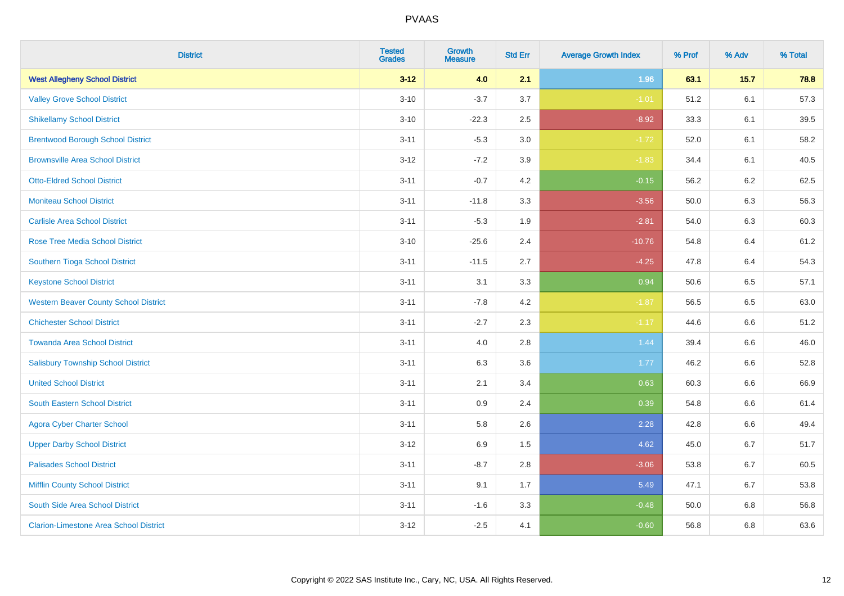| <b>District</b>                               | <b>Tested</b><br>Grades | <b>Growth</b><br><b>Measure</b> | <b>Std Err</b> | <b>Average Growth Index</b> | % Prof | % Adv   | % Total |
|-----------------------------------------------|-------------------------|---------------------------------|----------------|-----------------------------|--------|---------|---------|
| <b>West Allegheny School District</b>         | $3 - 12$                | 4.0                             | 2.1            | 1.96                        | 63.1   | 15.7    | 78.8    |
| <b>Valley Grove School District</b>           | $3 - 10$                | $-3.7$                          | 3.7            | $-1.01$                     | 51.2   | 6.1     | 57.3    |
| <b>Shikellamy School District</b>             | $3 - 10$                | $-22.3$                         | 2.5            | $-8.92$                     | 33.3   | 6.1     | 39.5    |
| <b>Brentwood Borough School District</b>      | $3 - 11$                | $-5.3$                          | $3.0\,$        | $-1.72$                     | 52.0   | 6.1     | 58.2    |
| <b>Brownsville Area School District</b>       | $3 - 12$                | $-7.2$                          | 3.9            | $-1.83$                     | 34.4   | 6.1     | 40.5    |
| <b>Otto-Eldred School District</b>            | $3 - 11$                | $-0.7$                          | 4.2            | $-0.15$                     | 56.2   | 6.2     | 62.5    |
| <b>Moniteau School District</b>               | $3 - 11$                | $-11.8$                         | 3.3            | $-3.56$                     | 50.0   | 6.3     | 56.3    |
| <b>Carlisle Area School District</b>          | $3 - 11$                | $-5.3$                          | 1.9            | $-2.81$                     | 54.0   | 6.3     | 60.3    |
| <b>Rose Tree Media School District</b>        | $3 - 10$                | $-25.6$                         | 2.4            | $-10.76$                    | 54.8   | 6.4     | 61.2    |
| Southern Tioga School District                | $3 - 11$                | $-11.5$                         | 2.7            | $-4.25$                     | 47.8   | 6.4     | 54.3    |
| <b>Keystone School District</b>               | $3 - 11$                | 3.1                             | 3.3            | 0.94                        | 50.6   | 6.5     | 57.1    |
| <b>Western Beaver County School District</b>  | $3 - 11$                | $-7.8$                          | 4.2            | $-1.87$                     | 56.5   | 6.5     | 63.0    |
| <b>Chichester School District</b>             | $3 - 11$                | $-2.7$                          | 2.3            | $-1.17$                     | 44.6   | $6.6\,$ | 51.2    |
| <b>Towanda Area School District</b>           | $3 - 11$                | 4.0                             | 2.8            | 1.44                        | 39.4   | 6.6     | 46.0    |
| <b>Salisbury Township School District</b>     | $3 - 11$                | 6.3                             | 3.6            | 1.77                        | 46.2   | 6.6     | 52.8    |
| <b>United School District</b>                 | $3 - 11$                | 2.1                             | 3.4            | 0.63                        | 60.3   | 6.6     | 66.9    |
| <b>South Eastern School District</b>          | $3 - 11$                | 0.9                             | 2.4            | 0.39                        | 54.8   | 6.6     | 61.4    |
| <b>Agora Cyber Charter School</b>             | $3 - 11$                | 5.8                             | 2.6            | 2.28                        | 42.8   | 6.6     | 49.4    |
| <b>Upper Darby School District</b>            | $3 - 12$                | 6.9                             | 1.5            | 4.62                        | 45.0   | $6.7\,$ | 51.7    |
| <b>Palisades School District</b>              | $3 - 11$                | $-8.7$                          | 2.8            | $-3.06$                     | 53.8   | 6.7     | 60.5    |
| <b>Mifflin County School District</b>         | $3 - 11$                | 9.1                             | 1.7            | 5.49                        | 47.1   | 6.7     | 53.8    |
| South Side Area School District               | $3 - 11$                | $-1.6$                          | 3.3            | $-0.48$                     | 50.0   | 6.8     | 56.8    |
| <b>Clarion-Limestone Area School District</b> | $3-12$                  | $-2.5$                          | 4.1            | $-0.60$                     | 56.8   | 6.8     | 63.6    |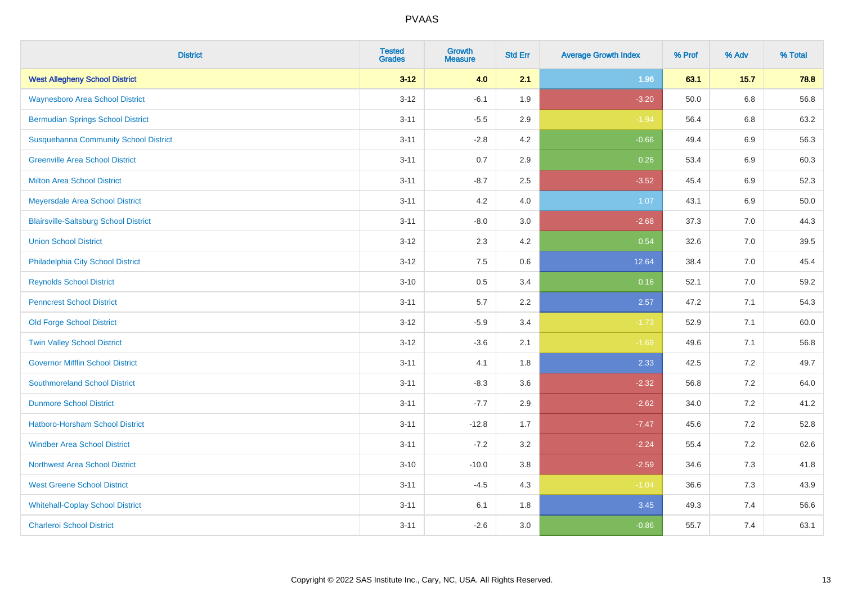| <b>District</b>                              | <b>Tested</b><br><b>Grades</b> | <b>Growth</b><br><b>Measure</b> | <b>Std Err</b> | <b>Average Growth Index</b> | % Prof | % Adv   | % Total |
|----------------------------------------------|--------------------------------|---------------------------------|----------------|-----------------------------|--------|---------|---------|
| <b>West Allegheny School District</b>        | $3 - 12$                       | 4.0                             | 2.1            | 1.96                        | 63.1   | 15.7    | 78.8    |
| <b>Waynesboro Area School District</b>       | $3 - 12$                       | $-6.1$                          | 1.9            | $-3.20$                     | 50.0   | $6.8\,$ | 56.8    |
| <b>Bermudian Springs School District</b>     | $3 - 11$                       | $-5.5$                          | 2.9            | $-1.94$                     | 56.4   | 6.8     | 63.2    |
| <b>Susquehanna Community School District</b> | $3 - 11$                       | $-2.8$                          | 4.2            | $-0.66$                     | 49.4   | 6.9     | 56.3    |
| <b>Greenville Area School District</b>       | $3 - 11$                       | 0.7                             | 2.9            | 0.26                        | 53.4   | 6.9     | 60.3    |
| <b>Milton Area School District</b>           | $3 - 11$                       | $-8.7$                          | 2.5            | $-3.52$                     | 45.4   | 6.9     | 52.3    |
| Meyersdale Area School District              | $3 - 11$                       | 4.2                             | 4.0            | 1.07                        | 43.1   | 6.9     | 50.0    |
| <b>Blairsville-Saltsburg School District</b> | $3 - 11$                       | $-8.0$                          | 3.0            | $-2.68$                     | 37.3   | 7.0     | 44.3    |
| <b>Union School District</b>                 | $3 - 12$                       | 2.3                             | 4.2            | 0.54                        | 32.6   | 7.0     | 39.5    |
| Philadelphia City School District            | $3 - 12$                       | 7.5                             | 0.6            | 12.64                       | 38.4   | 7.0     | 45.4    |
| <b>Reynolds School District</b>              | $3 - 10$                       | 0.5                             | 3.4            | 0.16                        | 52.1   | 7.0     | 59.2    |
| <b>Penncrest School District</b>             | $3 - 11$                       | 5.7                             | 2.2            | 2.57                        | 47.2   | 7.1     | 54.3    |
| <b>Old Forge School District</b>             | $3-12$                         | $-5.9$                          | 3.4            | $-1.73$                     | 52.9   | 7.1     | 60.0    |
| <b>Twin Valley School District</b>           | $3 - 12$                       | $-3.6$                          | 2.1            | $-1.69$                     | 49.6   | 7.1     | 56.8    |
| <b>Governor Mifflin School District</b>      | $3 - 11$                       | 4.1                             | 1.8            | 2.33                        | 42.5   | 7.2     | 49.7    |
| <b>Southmoreland School District</b>         | $3 - 11$                       | $-8.3$                          | 3.6            | $-2.32$                     | 56.8   | $7.2$   | 64.0    |
| <b>Dunmore School District</b>               | $3 - 11$                       | $-7.7$                          | 2.9            | $-2.62$                     | 34.0   | $7.2\,$ | 41.2    |
| Hatboro-Horsham School District              | $3 - 11$                       | $-12.8$                         | 1.7            | $-7.47$                     | 45.6   | $7.2\,$ | 52.8    |
| <b>Windber Area School District</b>          | $3 - 11$                       | $-7.2$                          | 3.2            | $-2.24$                     | 55.4   | $7.2\,$ | 62.6    |
| <b>Northwest Area School District</b>        | $3 - 10$                       | $-10.0$                         | 3.8            | $-2.59$                     | 34.6   | 7.3     | 41.8    |
| <b>West Greene School District</b>           | $3 - 11$                       | $-4.5$                          | 4.3            | $-1.04$                     | 36.6   | 7.3     | 43.9    |
| <b>Whitehall-Coplay School District</b>      | $3 - 11$                       | 6.1                             | 1.8            | 3.45                        | 49.3   | 7.4     | 56.6    |
| <b>Charleroi School District</b>             | $3 - 11$                       | $-2.6$                          | 3.0            | $-0.86$                     | 55.7   | 7.4     | 63.1    |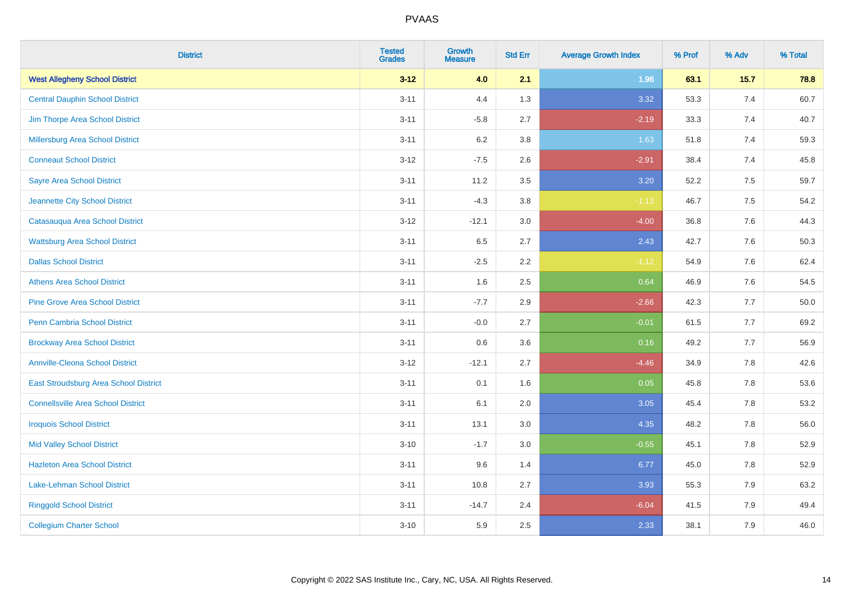| <b>District</b>                           | <b>Tested</b><br>Grades | <b>Growth</b><br><b>Measure</b> | <b>Std Err</b> | <b>Average Growth Index</b> | % Prof | % Adv | % Total |
|-------------------------------------------|-------------------------|---------------------------------|----------------|-----------------------------|--------|-------|---------|
| <b>West Allegheny School District</b>     | $3 - 12$                | 4.0                             | 2.1            | 1.96                        | 63.1   | 15.7  | 78.8    |
| <b>Central Dauphin School District</b>    | $3 - 11$                | 4.4                             | 1.3            | 3.32                        | 53.3   | 7.4   | 60.7    |
| Jim Thorpe Area School District           | $3 - 11$                | $-5.8$                          | 2.7            | $-2.19$                     | 33.3   | 7.4   | 40.7    |
| Millersburg Area School District          | $3 - 11$                | 6.2                             | 3.8            | 1.63                        | 51.8   | 7.4   | 59.3    |
| <b>Conneaut School District</b>           | $3 - 12$                | $-7.5$                          | 2.6            | $-2.91$                     | 38.4   | 7.4   | 45.8    |
| <b>Sayre Area School District</b>         | $3 - 11$                | 11.2                            | 3.5            | 3.20                        | 52.2   | 7.5   | 59.7    |
| Jeannette City School District            | $3 - 11$                | $-4.3$                          | 3.8            | $-1.13$                     | 46.7   | 7.5   | 54.2    |
| Catasauqua Area School District           | $3 - 12$                | $-12.1$                         | 3.0            | $-4.00$                     | 36.8   | 7.6   | 44.3    |
| <b>Wattsburg Area School District</b>     | $3 - 11$                | 6.5                             | 2.7            | 2.43                        | 42.7   | 7.6   | 50.3    |
| <b>Dallas School District</b>             | $3 - 11$                | $-2.5$                          | 2.2            | $-1.12$                     | 54.9   | 7.6   | 62.4    |
| <b>Athens Area School District</b>        | $3 - 11$                | 1.6                             | 2.5            | 0.64                        | 46.9   | 7.6   | 54.5    |
| <b>Pine Grove Area School District</b>    | $3 - 11$                | $-7.7$                          | 2.9            | $-2.66$                     | 42.3   | 7.7   | 50.0    |
| Penn Cambria School District              | $3 - 11$                | $-0.0$                          | 2.7            | $-0.01$                     | 61.5   | 7.7   | 69.2    |
| <b>Brockway Area School District</b>      | $3 - 11$                | 0.6                             | 3.6            | 0.16                        | 49.2   | $7.7$ | 56.9    |
| <b>Annville-Cleona School District</b>    | $3-12$                  | $-12.1$                         | 2.7            | $-4.46$                     | 34.9   | 7.8   | 42.6    |
| East Stroudsburg Area School District     | $3 - 11$                | 0.1                             | 1.6            | 0.05                        | 45.8   | 7.8   | 53.6    |
| <b>Connellsville Area School District</b> | $3 - 11$                | 6.1                             | 2.0            | 3.05                        | 45.4   | 7.8   | 53.2    |
| <b>Iroquois School District</b>           | $3 - 11$                | 13.1                            | 3.0            | 4.35                        | 48.2   | 7.8   | 56.0    |
| <b>Mid Valley School District</b>         | $3 - 10$                | $-1.7$                          | 3.0            | $-0.55$                     | 45.1   | 7.8   | 52.9    |
| <b>Hazleton Area School District</b>      | $3 - 11$                | 9.6                             | 1.4            | 6.77                        | 45.0   | 7.8   | 52.9    |
| <b>Lake-Lehman School District</b>        | $3 - 11$                | 10.8                            | 2.7            | 3.93                        | 55.3   | 7.9   | 63.2    |
| <b>Ringgold School District</b>           | $3 - 11$                | $-14.7$                         | 2.4            | $-6.04$                     | 41.5   | 7.9   | 49.4    |
| <b>Collegium Charter School</b>           | $3 - 10$                | 5.9                             | 2.5            | 2.33                        | 38.1   | 7.9   | 46.0    |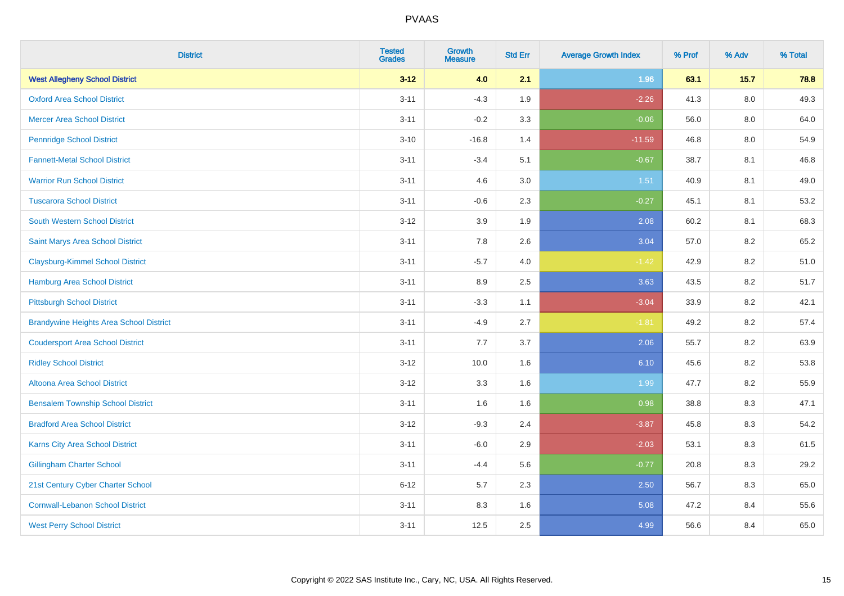| <b>District</b>                                | <b>Tested</b><br><b>Grades</b> | Growth<br><b>Measure</b> | <b>Std Err</b> | <b>Average Growth Index</b> | % Prof | % Adv   | % Total |
|------------------------------------------------|--------------------------------|--------------------------|----------------|-----------------------------|--------|---------|---------|
| <b>West Allegheny School District</b>          | $3 - 12$                       | 4.0                      | 2.1            | 1.96                        | 63.1   | $15.7$  | 78.8    |
| <b>Oxford Area School District</b>             | $3 - 11$                       | $-4.3$                   | 1.9            | $-2.26$                     | 41.3   | $8.0\,$ | 49.3    |
| <b>Mercer Area School District</b>             | $3 - 11$                       | $-0.2$                   | 3.3            | $-0.06$                     | 56.0   | 8.0     | 64.0    |
| <b>Pennridge School District</b>               | $3 - 10$                       | $-16.8$                  | 1.4            | $-11.59$                    | 46.8   | $8.0\,$ | 54.9    |
| <b>Fannett-Metal School District</b>           | $3 - 11$                       | $-3.4$                   | 5.1            | $-0.67$                     | 38.7   | 8.1     | 46.8    |
| <b>Warrior Run School District</b>             | $3 - 11$                       | 4.6                      | 3.0            | 1.51                        | 40.9   | 8.1     | 49.0    |
| <b>Tuscarora School District</b>               | $3 - 11$                       | $-0.6$                   | 2.3            | $-0.27$                     | 45.1   | 8.1     | 53.2    |
| <b>South Western School District</b>           | $3 - 12$                       | 3.9                      | 1.9            | 2.08                        | 60.2   | 8.1     | 68.3    |
| Saint Marys Area School District               | $3 - 11$                       | 7.8                      | 2.6            | 3.04                        | 57.0   | 8.2     | 65.2    |
| <b>Claysburg-Kimmel School District</b>        | $3 - 11$                       | $-5.7$                   | 4.0            | $-1.42$                     | 42.9   | $8.2\,$ | 51.0    |
| Hamburg Area School District                   | $3 - 11$                       | 8.9                      | 2.5            | 3.63                        | 43.5   | 8.2     | 51.7    |
| <b>Pittsburgh School District</b>              | $3 - 11$                       | $-3.3$                   | 1.1            | $-3.04$                     | 33.9   | 8.2     | 42.1    |
| <b>Brandywine Heights Area School District</b> | $3 - 11$                       | $-4.9$                   | 2.7            | $-1.81$                     | 49.2   | 8.2     | 57.4    |
| <b>Coudersport Area School District</b>        | $3 - 11$                       | 7.7                      | 3.7            | 2.06                        | 55.7   | 8.2     | 63.9    |
| <b>Ridley School District</b>                  | $3 - 12$                       | 10.0                     | 1.6            | 6.10                        | 45.6   | 8.2     | 53.8    |
| Altoona Area School District                   | $3 - 12$                       | 3.3                      | 1.6            | 1.99                        | 47.7   | 8.2     | 55.9    |
| <b>Bensalem Township School District</b>       | $3 - 11$                       | 1.6                      | 1.6            | 0.98                        | 38.8   | 8.3     | 47.1    |
| <b>Bradford Area School District</b>           | $3 - 12$                       | $-9.3$                   | 2.4            | $-3.87$                     | 45.8   | 8.3     | 54.2    |
| Karns City Area School District                | $3 - 11$                       | $-6.0$                   | 2.9            | $-2.03$                     | 53.1   | 8.3     | 61.5    |
| <b>Gillingham Charter School</b>               | $3 - 11$                       | $-4.4$                   | 5.6            | $-0.77$                     | 20.8   | 8.3     | 29.2    |
| 21st Century Cyber Charter School              | $6 - 12$                       | 5.7                      | 2.3            | 2.50                        | 56.7   | 8.3     | 65.0    |
| <b>Cornwall-Lebanon School District</b>        | $3 - 11$                       | 8.3                      | 1.6            | 5.08                        | 47.2   | 8.4     | 55.6    |
| <b>West Perry School District</b>              | $3 - 11$                       | 12.5                     | 2.5            | 4.99                        | 56.6   | 8.4     | 65.0    |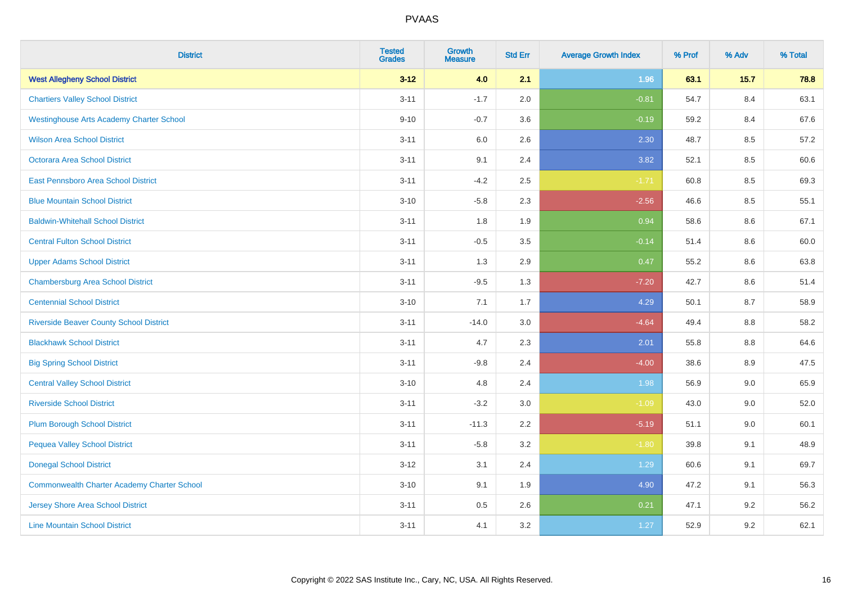| <b>District</b>                                    | <b>Tested</b><br><b>Grades</b> | <b>Growth</b><br><b>Measure</b> | <b>Std Err</b> | <b>Average Growth Index</b> | % Prof | % Adv   | % Total |
|----------------------------------------------------|--------------------------------|---------------------------------|----------------|-----------------------------|--------|---------|---------|
| <b>West Allegheny School District</b>              | $3 - 12$                       | 4.0                             | 2.1            | 1.96                        | 63.1   | 15.7    | 78.8    |
| <b>Chartiers Valley School District</b>            | $3 - 11$                       | $-1.7$                          | 2.0            | $-0.81$                     | 54.7   | 8.4     | 63.1    |
| <b>Westinghouse Arts Academy Charter School</b>    | $9 - 10$                       | $-0.7$                          | 3.6            | $-0.19$                     | 59.2   | 8.4     | 67.6    |
| <b>Wilson Area School District</b>                 | $3 - 11$                       | 6.0                             | 2.6            | 2.30                        | 48.7   | 8.5     | 57.2    |
| <b>Octorara Area School District</b>               | $3 - 11$                       | 9.1                             | 2.4            | 3.82                        | 52.1   | 8.5     | 60.6    |
| East Pennsboro Area School District                | $3 - 11$                       | $-4.2$                          | 2.5            | $-1.71$                     | 60.8   | 8.5     | 69.3    |
| <b>Blue Mountain School District</b>               | $3 - 10$                       | $-5.8$                          | 2.3            | $-2.56$                     | 46.6   | 8.5     | 55.1    |
| <b>Baldwin-Whitehall School District</b>           | $3 - 11$                       | 1.8                             | 1.9            | 0.94                        | 58.6   | 8.6     | 67.1    |
| <b>Central Fulton School District</b>              | $3 - 11$                       | $-0.5$                          | 3.5            | $-0.14$                     | 51.4   | 8.6     | 60.0    |
| <b>Upper Adams School District</b>                 | $3 - 11$                       | 1.3                             | 2.9            | 0.47                        | 55.2   | 8.6     | 63.8    |
| <b>Chambersburg Area School District</b>           | $3 - 11$                       | $-9.5$                          | 1.3            | $-7.20$                     | 42.7   | 8.6     | 51.4    |
| <b>Centennial School District</b>                  | $3 - 10$                       | 7.1                             | 1.7            | 4.29                        | 50.1   | 8.7     | 58.9    |
| <b>Riverside Beaver County School District</b>     | $3 - 11$                       | $-14.0$                         | 3.0            | $-4.64$                     | 49.4   | $8.8\,$ | 58.2    |
| <b>Blackhawk School District</b>                   | $3 - 11$                       | 4.7                             | 2.3            | 2.01                        | 55.8   | $8.8\,$ | 64.6    |
| <b>Big Spring School District</b>                  | $3 - 11$                       | $-9.8$                          | 2.4            | $-4.00$                     | 38.6   | 8.9     | 47.5    |
| <b>Central Valley School District</b>              | $3 - 10$                       | 4.8                             | 2.4            | 1.98                        | 56.9   | 9.0     | 65.9    |
| <b>Riverside School District</b>                   | $3 - 11$                       | $-3.2$                          | 3.0            | $-1.09$                     | 43.0   | $9.0\,$ | 52.0    |
| <b>Plum Borough School District</b>                | $3 - 11$                       | $-11.3$                         | 2.2            | $-5.19$                     | 51.1   | 9.0     | 60.1    |
| <b>Pequea Valley School District</b>               | $3 - 11$                       | $-5.8$                          | 3.2            | $-1.80$                     | 39.8   | 9.1     | 48.9    |
| <b>Donegal School District</b>                     | $3 - 12$                       | 3.1                             | 2.4            | 1.29                        | 60.6   | 9.1     | 69.7    |
| <b>Commonwealth Charter Academy Charter School</b> | $3 - 10$                       | 9.1                             | 1.9            | 4.90                        | 47.2   | 9.1     | 56.3    |
| Jersey Shore Area School District                  | $3 - 11$                       | 0.5                             | 2.6            | 0.21                        | 47.1   | 9.2     | 56.2    |
| <b>Line Mountain School District</b>               | $3 - 11$                       | 4.1                             | 3.2            | 1.27                        | 52.9   | 9.2     | 62.1    |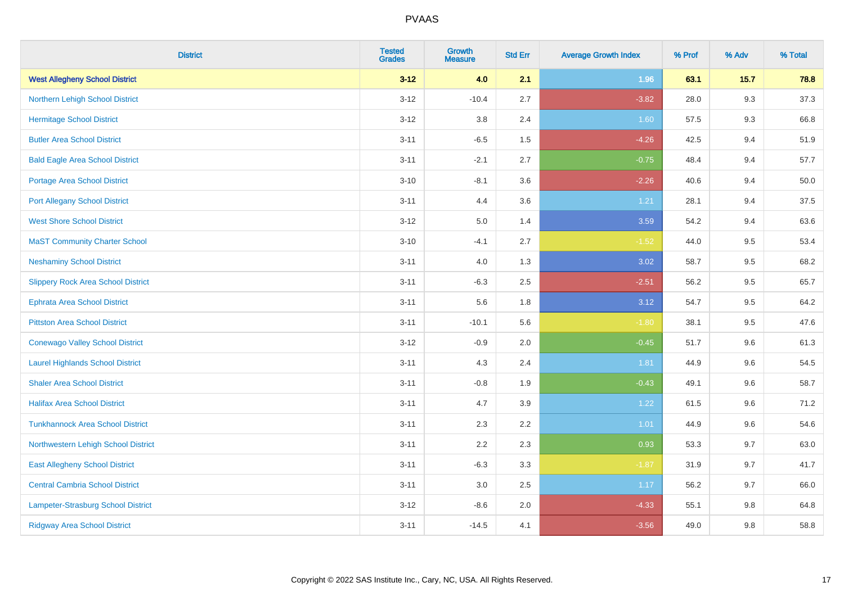| <b>District</b>                           | <b>Tested</b><br><b>Grades</b> | <b>Growth</b><br><b>Measure</b> | <b>Std Err</b> | <b>Average Growth Index</b> | % Prof | % Adv | % Total |
|-------------------------------------------|--------------------------------|---------------------------------|----------------|-----------------------------|--------|-------|---------|
| <b>West Allegheny School District</b>     | $3 - 12$                       | 4.0                             | 2.1            | 1.96                        | 63.1   | 15.7  | 78.8    |
| Northern Lehigh School District           | $3 - 12$                       | $-10.4$                         | 2.7            | $-3.82$                     | 28.0   | 9.3   | 37.3    |
| <b>Hermitage School District</b>          | $3 - 12$                       | 3.8                             | 2.4            | 1.60                        | 57.5   | 9.3   | 66.8    |
| <b>Butler Area School District</b>        | $3 - 11$                       | $-6.5$                          | 1.5            | $-4.26$                     | 42.5   | 9.4   | 51.9    |
| <b>Bald Eagle Area School District</b>    | $3 - 11$                       | $-2.1$                          | 2.7            | $-0.75$                     | 48.4   | 9.4   | 57.7    |
| <b>Portage Area School District</b>       | $3 - 10$                       | $-8.1$                          | 3.6            | $-2.26$                     | 40.6   | 9.4   | 50.0    |
| <b>Port Allegany School District</b>      | $3 - 11$                       | 4.4                             | 3.6            | 1.21                        | 28.1   | 9.4   | 37.5    |
| <b>West Shore School District</b>         | $3 - 12$                       | 5.0                             | 1.4            | 3.59                        | 54.2   | 9.4   | 63.6    |
| <b>MaST Community Charter School</b>      | $3 - 10$                       | $-4.1$                          | 2.7            | $-1.52$                     | 44.0   | 9.5   | 53.4    |
| <b>Neshaminy School District</b>          | $3 - 11$                       | 4.0                             | 1.3            | 3.02                        | 58.7   | 9.5   | 68.2    |
| <b>Slippery Rock Area School District</b> | $3 - 11$                       | $-6.3$                          | 2.5            | $-2.51$                     | 56.2   | 9.5   | 65.7    |
| <b>Ephrata Area School District</b>       | $3 - 11$                       | 5.6                             | 1.8            | 3.12                        | 54.7   | 9.5   | 64.2    |
| <b>Pittston Area School District</b>      | $3 - 11$                       | $-10.1$                         | 5.6            | $-1.80$                     | 38.1   | 9.5   | 47.6    |
| <b>Conewago Valley School District</b>    | $3 - 12$                       | $-0.9$                          | 2.0            | $-0.45$                     | 51.7   | 9.6   | 61.3    |
| <b>Laurel Highlands School District</b>   | $3 - 11$                       | 4.3                             | 2.4            | 1.81                        | 44.9   | 9.6   | 54.5    |
| <b>Shaler Area School District</b>        | $3 - 11$                       | $-0.8$                          | 1.9            | $-0.43$                     | 49.1   | 9.6   | 58.7    |
| <b>Halifax Area School District</b>       | $3 - 11$                       | 4.7                             | 3.9            | 1.22                        | 61.5   | 9.6   | 71.2    |
| <b>Tunkhannock Area School District</b>   | $3 - 11$                       | 2.3                             | 2.2            | $1.01$                      | 44.9   | 9.6   | 54.6    |
| Northwestern Lehigh School District       | $3 - 11$                       | 2.2                             | 2.3            | 0.93                        | 53.3   | 9.7   | 63.0    |
| <b>East Allegheny School District</b>     | $3 - 11$                       | $-6.3$                          | 3.3            | $-1.87$                     | 31.9   | 9.7   | 41.7    |
| <b>Central Cambria School District</b>    | $3 - 11$                       | 3.0                             | 2.5            | 1.17                        | 56.2   | 9.7   | 66.0    |
| Lampeter-Strasburg School District        | $3 - 12$                       | $-8.6$                          | 2.0            | $-4.33$                     | 55.1   | 9.8   | 64.8    |
| <b>Ridgway Area School District</b>       | $3 - 11$                       | $-14.5$                         | 4.1            | $-3.56$                     | 49.0   | 9.8   | 58.8    |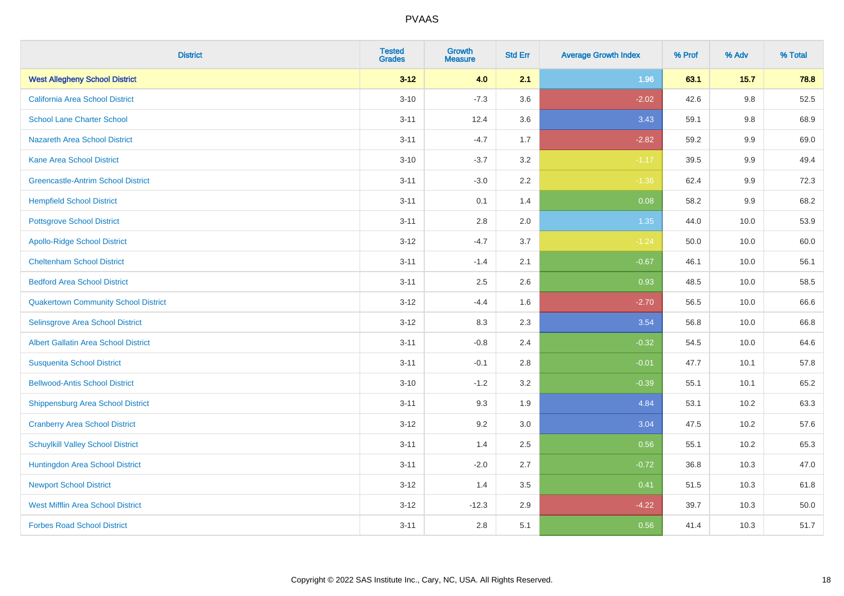| <b>District</b>                             | <b>Tested</b><br><b>Grades</b> | <b>Growth</b><br><b>Measure</b> | <b>Std Err</b> | <b>Average Growth Index</b> | % Prof | % Adv   | % Total |
|---------------------------------------------|--------------------------------|---------------------------------|----------------|-----------------------------|--------|---------|---------|
| <b>West Allegheny School District</b>       | $3 - 12$                       | 4.0                             | 2.1            | 1.96                        | 63.1   | 15.7    | 78.8    |
| California Area School District             | $3 - 10$                       | $-7.3$                          | 3.6            | $-2.02$                     | 42.6   | $9.8\,$ | 52.5    |
| <b>School Lane Charter School</b>           | $3 - 11$                       | 12.4                            | 3.6            | 3.43                        | 59.1   | 9.8     | 68.9    |
| Nazareth Area School District               | $3 - 11$                       | $-4.7$                          | 1.7            | $-2.82$                     | 59.2   | 9.9     | 69.0    |
| <b>Kane Area School District</b>            | $3 - 10$                       | $-3.7$                          | 3.2            | $-1.17$                     | 39.5   | 9.9     | 49.4    |
| <b>Greencastle-Antrim School District</b>   | $3 - 11$                       | $-3.0$                          | 2.2            | $-1.36$                     | 62.4   | 9.9     | 72.3    |
| <b>Hempfield School District</b>            | $3 - 11$                       | 0.1                             | 1.4            | 0.08                        | 58.2   | 9.9     | 68.2    |
| <b>Pottsgrove School District</b>           | $3 - 11$                       | 2.8                             | 2.0            | 1.35                        | 44.0   | 10.0    | 53.9    |
| <b>Apollo-Ridge School District</b>         | $3 - 12$                       | $-4.7$                          | 3.7            | $-1.24$                     | 50.0   | 10.0    | 60.0    |
| <b>Cheltenham School District</b>           | $3 - 11$                       | $-1.4$                          | 2.1            | $-0.67$                     | 46.1   | 10.0    | 56.1    |
| <b>Bedford Area School District</b>         | $3 - 11$                       | 2.5                             | 2.6            | 0.93                        | 48.5   | 10.0    | 58.5    |
| <b>Quakertown Community School District</b> | $3 - 12$                       | $-4.4$                          | 1.6            | $-2.70$                     | 56.5   | 10.0    | 66.6    |
| Selinsgrove Area School District            | $3 - 12$                       | 8.3                             | 2.3            | 3.54                        | 56.8   | 10.0    | 66.8    |
| <b>Albert Gallatin Area School District</b> | $3 - 11$                       | $-0.8$                          | 2.4            | $-0.32$                     | 54.5   | 10.0    | 64.6    |
| <b>Susquenita School District</b>           | $3 - 11$                       | $-0.1$                          | 2.8            | $-0.01$                     | 47.7   | 10.1    | 57.8    |
| <b>Bellwood-Antis School District</b>       | $3 - 10$                       | $-1.2$                          | 3.2            | $-0.39$                     | 55.1   | 10.1    | 65.2    |
| <b>Shippensburg Area School District</b>    | $3 - 11$                       | 9.3                             | 1.9            | 4.84                        | 53.1   | 10.2    | 63.3    |
| <b>Cranberry Area School District</b>       | $3 - 12$                       | 9.2                             | 3.0            | 3.04                        | 47.5   | 10.2    | 57.6    |
| <b>Schuylkill Valley School District</b>    | $3 - 11$                       | 1.4                             | 2.5            | 0.56                        | 55.1   | 10.2    | 65.3    |
| Huntingdon Area School District             | $3 - 11$                       | $-2.0$                          | 2.7            | $-0.72$                     | 36.8   | 10.3    | 47.0    |
| <b>Newport School District</b>              | $3 - 12$                       | 1.4                             | 3.5            | 0.41                        | 51.5   | 10.3    | 61.8    |
| <b>West Mifflin Area School District</b>    | $3 - 12$                       | $-12.3$                         | 2.9            | $-4.22$                     | 39.7   | 10.3    | 50.0    |
| <b>Forbes Road School District</b>          | $3 - 11$                       | 2.8                             | 5.1            | 0.56                        | 41.4   | 10.3    | 51.7    |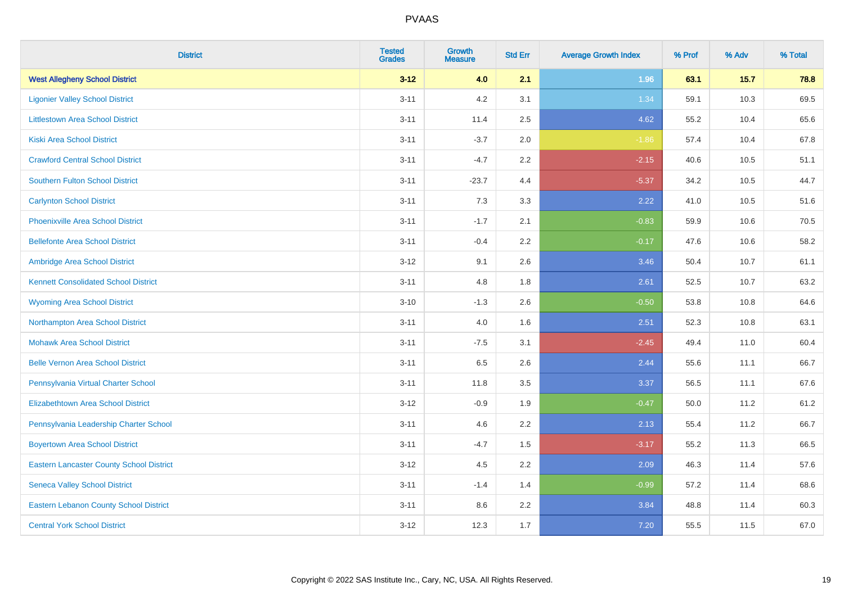| <b>District</b>                                 | <b>Tested</b><br><b>Grades</b> | <b>Growth</b><br><b>Measure</b> | <b>Std Err</b> | <b>Average Growth Index</b> | % Prof | % Adv | % Total |
|-------------------------------------------------|--------------------------------|---------------------------------|----------------|-----------------------------|--------|-------|---------|
| <b>West Allegheny School District</b>           | $3 - 12$                       | 4.0                             | 2.1            | 1.96                        | 63.1   | 15.7  | 78.8    |
| <b>Ligonier Valley School District</b>          | $3 - 11$                       | 4.2                             | 3.1            | 1.34                        | 59.1   | 10.3  | 69.5    |
| <b>Littlestown Area School District</b>         | $3 - 11$                       | 11.4                            | 2.5            | 4.62                        | 55.2   | 10.4  | 65.6    |
| <b>Kiski Area School District</b>               | $3 - 11$                       | $-3.7$                          | 2.0            | $-1.86$                     | 57.4   | 10.4  | 67.8    |
| <b>Crawford Central School District</b>         | $3 - 11$                       | $-4.7$                          | 2.2            | $-2.15$                     | 40.6   | 10.5  | 51.1    |
| <b>Southern Fulton School District</b>          | $3 - 11$                       | $-23.7$                         | 4.4            | $-5.37$                     | 34.2   | 10.5  | 44.7    |
| <b>Carlynton School District</b>                | $3 - 11$                       | 7.3                             | 3.3            | 2.22                        | 41.0   | 10.5  | 51.6    |
| <b>Phoenixville Area School District</b>        | $3 - 11$                       | $-1.7$                          | 2.1            | $-0.83$                     | 59.9   | 10.6  | 70.5    |
| <b>Bellefonte Area School District</b>          | $3 - 11$                       | $-0.4$                          | 2.2            | $-0.17$                     | 47.6   | 10.6  | 58.2    |
| Ambridge Area School District                   | $3-12$                         | 9.1                             | 2.6            | 3.46                        | 50.4   | 10.7  | 61.1    |
| <b>Kennett Consolidated School District</b>     | $3 - 11$                       | 4.8                             | 1.8            | 2.61                        | 52.5   | 10.7  | 63.2    |
| <b>Wyoming Area School District</b>             | $3 - 10$                       | $-1.3$                          | 2.6            | $-0.50$                     | 53.8   | 10.8  | 64.6    |
| Northampton Area School District                | $3 - 11$                       | 4.0                             | 1.6            | 2.51                        | 52.3   | 10.8  | 63.1    |
| <b>Mohawk Area School District</b>              | $3 - 11$                       | $-7.5$                          | 3.1            | $-2.45$                     | 49.4   | 11.0  | 60.4    |
| <b>Belle Vernon Area School District</b>        | $3 - 11$                       | 6.5                             | 2.6            | 2.44                        | 55.6   | 11.1  | 66.7    |
| Pennsylvania Virtual Charter School             | $3 - 11$                       | 11.8                            | 3.5            | 3.37                        | 56.5   | 11.1  | 67.6    |
| <b>Elizabethtown Area School District</b>       | $3 - 12$                       | $-0.9$                          | 1.9            | $-0.47$                     | 50.0   | 11.2  | 61.2    |
| Pennsylvania Leadership Charter School          | $3 - 11$                       | 4.6                             | 2.2            | 2.13                        | 55.4   | 11.2  | 66.7    |
| <b>Boyertown Area School District</b>           | $3 - 11$                       | $-4.7$                          | 1.5            | $-3.17$                     | 55.2   | 11.3  | 66.5    |
| <b>Eastern Lancaster County School District</b> | $3 - 12$                       | 4.5                             | 2.2            | 2.09                        | 46.3   | 11.4  | 57.6    |
| <b>Seneca Valley School District</b>            | $3 - 11$                       | $-1.4$                          | 1.4            | $-0.99$                     | 57.2   | 11.4  | 68.6    |
| <b>Eastern Lebanon County School District</b>   | $3 - 11$                       | 8.6                             | 2.2            | 3.84                        | 48.8   | 11.4  | 60.3    |
| <b>Central York School District</b>             | $3-12$                         | 12.3                            | 1.7            | 7.20                        | 55.5   | 11.5  | 67.0    |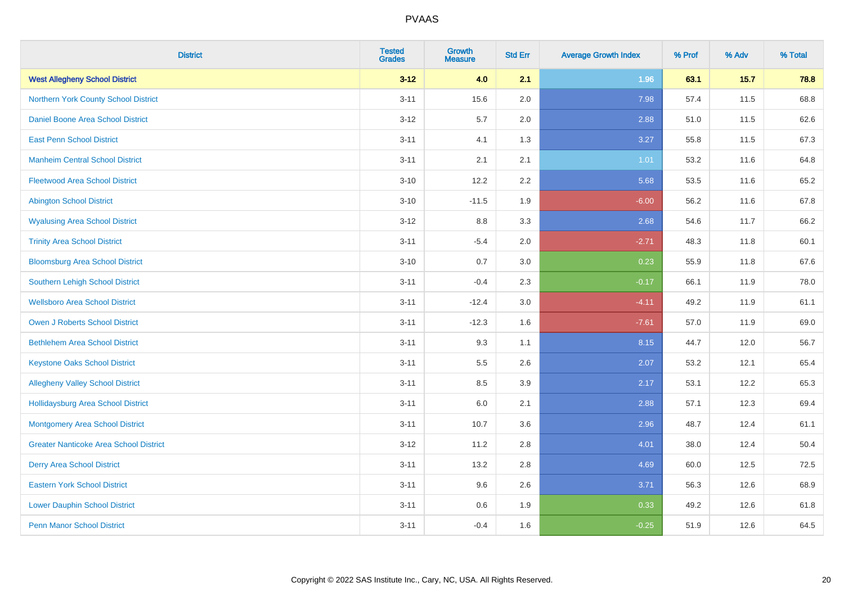| <b>District</b>                               | <b>Tested</b><br><b>Grades</b> | <b>Growth</b><br><b>Measure</b> | <b>Std Err</b> | <b>Average Growth Index</b> | % Prof | % Adv  | % Total |
|-----------------------------------------------|--------------------------------|---------------------------------|----------------|-----------------------------|--------|--------|---------|
| <b>West Allegheny School District</b>         | $3 - 12$                       | 4.0                             | 2.1            | 1.96                        | 63.1   | $15.7$ | 78.8    |
| Northern York County School District          | $3 - 11$                       | 15.6                            | 2.0            | 7.98                        | 57.4   | 11.5   | 68.8    |
| Daniel Boone Area School District             | $3 - 12$                       | 5.7                             | 2.0            | 2.88                        | 51.0   | 11.5   | 62.6    |
| <b>East Penn School District</b>              | $3 - 11$                       | 4.1                             | 1.3            | 3.27                        | 55.8   | 11.5   | 67.3    |
| <b>Manheim Central School District</b>        | $3 - 11$                       | 2.1                             | 2.1            | 1.01                        | 53.2   | 11.6   | 64.8    |
| <b>Fleetwood Area School District</b>         | $3 - 10$                       | 12.2                            | 2.2            | 5.68                        | 53.5   | 11.6   | 65.2    |
| <b>Abington School District</b>               | $3 - 10$                       | $-11.5$                         | 1.9            | $-6.00$                     | 56.2   | 11.6   | 67.8    |
| <b>Wyalusing Area School District</b>         | $3 - 12$                       | 8.8                             | 3.3            | 2.68                        | 54.6   | 11.7   | 66.2    |
| <b>Trinity Area School District</b>           | $3 - 11$                       | $-5.4$                          | 2.0            | $-2.71$                     | 48.3   | 11.8   | 60.1    |
| <b>Bloomsburg Area School District</b>        | $3 - 10$                       | 0.7                             | 3.0            | 0.23                        | 55.9   | 11.8   | 67.6    |
| Southern Lehigh School District               | $3 - 11$                       | $-0.4$                          | 2.3            | $-0.17$                     | 66.1   | 11.9   | 78.0    |
| <b>Wellsboro Area School District</b>         | $3 - 11$                       | $-12.4$                         | 3.0            | $-4.11$                     | 49.2   | 11.9   | 61.1    |
| <b>Owen J Roberts School District</b>         | $3 - 11$                       | $-12.3$                         | 1.6            | $-7.61$                     | 57.0   | 11.9   | 69.0    |
| <b>Bethlehem Area School District</b>         | $3 - 11$                       | 9.3                             | 1.1            | 8.15                        | 44.7   | 12.0   | 56.7    |
| <b>Keystone Oaks School District</b>          | $3 - 11$                       | 5.5                             | 2.6            | 2.07                        | 53.2   | 12.1   | 65.4    |
| <b>Allegheny Valley School District</b>       | $3 - 11$                       | 8.5                             | 3.9            | 2.17                        | 53.1   | 12.2   | 65.3    |
| <b>Hollidaysburg Area School District</b>     | $3 - 11$                       | 6.0                             | 2.1            | 2.88                        | 57.1   | 12.3   | 69.4    |
| Montgomery Area School District               | $3 - 11$                       | 10.7                            | 3.6            | 2.96                        | 48.7   | 12.4   | 61.1    |
| <b>Greater Nanticoke Area School District</b> | $3 - 12$                       | 11.2                            | 2.8            | 4.01                        | 38.0   | 12.4   | 50.4    |
| <b>Derry Area School District</b>             | $3 - 11$                       | 13.2                            | 2.8            | 4.69                        | 60.0   | 12.5   | 72.5    |
| <b>Eastern York School District</b>           | $3 - 11$                       | 9.6                             | 2.6            | 3.71                        | 56.3   | 12.6   | 68.9    |
| <b>Lower Dauphin School District</b>          | $3 - 11$                       | 0.6                             | 1.9            | 0.33                        | 49.2   | 12.6   | 61.8    |
| <b>Penn Manor School District</b>             | $3 - 11$                       | $-0.4$                          | 1.6            | $-0.25$                     | 51.9   | 12.6   | 64.5    |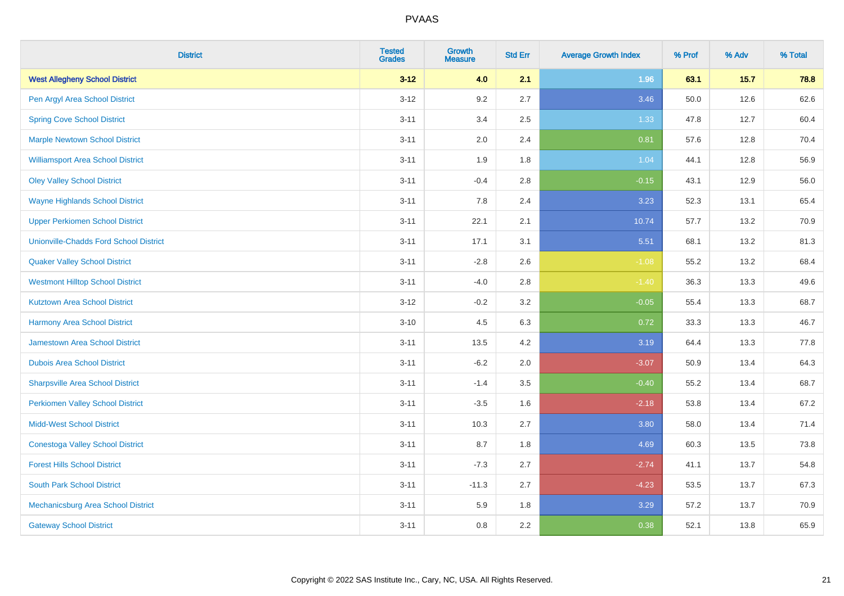| <b>District</b>                               | <b>Tested</b><br><b>Grades</b> | <b>Growth</b><br><b>Measure</b> | <b>Std Err</b> | <b>Average Growth Index</b> | % Prof | % Adv | % Total |
|-----------------------------------------------|--------------------------------|---------------------------------|----------------|-----------------------------|--------|-------|---------|
| <b>West Allegheny School District</b>         | $3 - 12$                       | 4.0                             | 2.1            | 1.96                        | 63.1   | 15.7  | 78.8    |
| Pen Argyl Area School District                | $3 - 12$                       | 9.2                             | 2.7            | 3.46                        | 50.0   | 12.6  | 62.6    |
| <b>Spring Cove School District</b>            | $3 - 11$                       | 3.4                             | 2.5            | 1.33                        | 47.8   | 12.7  | 60.4    |
| <b>Marple Newtown School District</b>         | $3 - 11$                       | 2.0                             | 2.4            | 0.81                        | 57.6   | 12.8  | 70.4    |
| <b>Williamsport Area School District</b>      | $3 - 11$                       | 1.9                             | 1.8            | 1.04                        | 44.1   | 12.8  | 56.9    |
| <b>Oley Valley School District</b>            | $3 - 11$                       | $-0.4$                          | 2.8            | $-0.15$                     | 43.1   | 12.9  | 56.0    |
| <b>Wayne Highlands School District</b>        | $3 - 11$                       | 7.8                             | 2.4            | 3.23                        | 52.3   | 13.1  | 65.4    |
| <b>Upper Perkiomen School District</b>        | $3 - 11$                       | 22.1                            | 2.1            | 10.74                       | 57.7   | 13.2  | 70.9    |
| <b>Unionville-Chadds Ford School District</b> | $3 - 11$                       | 17.1                            | 3.1            | 5.51                        | 68.1   | 13.2  | 81.3    |
| <b>Quaker Valley School District</b>          | $3 - 11$                       | $-2.8$                          | 2.6            | $-1.08$                     | 55.2   | 13.2  | 68.4    |
| <b>Westmont Hilltop School District</b>       | $3 - 11$                       | $-4.0$                          | 2.8            | $-1.40$                     | 36.3   | 13.3  | 49.6    |
| <b>Kutztown Area School District</b>          | $3 - 12$                       | $-0.2$                          | 3.2            | $-0.05$                     | 55.4   | 13.3  | 68.7    |
| <b>Harmony Area School District</b>           | $3 - 10$                       | 4.5                             | 6.3            | 0.72                        | 33.3   | 13.3  | 46.7    |
| <b>Jamestown Area School District</b>         | $3 - 11$                       | 13.5                            | 4.2            | 3.19                        | 64.4   | 13.3  | 77.8    |
| <b>Dubois Area School District</b>            | $3 - 11$                       | $-6.2$                          | 2.0            | $-3.07$                     | 50.9   | 13.4  | 64.3    |
| <b>Sharpsville Area School District</b>       | $3 - 11$                       | $-1.4$                          | 3.5            | $-0.40$                     | 55.2   | 13.4  | 68.7    |
| <b>Perkiomen Valley School District</b>       | $3 - 11$                       | $-3.5$                          | 1.6            | $-2.18$                     | 53.8   | 13.4  | 67.2    |
| <b>Midd-West School District</b>              | $3 - 11$                       | 10.3                            | 2.7            | 3.80                        | 58.0   | 13.4  | 71.4    |
| <b>Conestoga Valley School District</b>       | $3 - 11$                       | 8.7                             | 1.8            | 4.69                        | 60.3   | 13.5  | 73.8    |
| <b>Forest Hills School District</b>           | $3 - 11$                       | $-7.3$                          | 2.7            | $-2.74$                     | 41.1   | 13.7  | 54.8    |
| <b>South Park School District</b>             | $3 - 11$                       | $-11.3$                         | 2.7            | $-4.23$                     | 53.5   | 13.7  | 67.3    |
| Mechanicsburg Area School District            | $3 - 11$                       | 5.9                             | 1.8            | 3.29                        | 57.2   | 13.7  | 70.9    |
| <b>Gateway School District</b>                | $3 - 11$                       | 0.8                             | 2.2            | 0.38                        | 52.1   | 13.8  | 65.9    |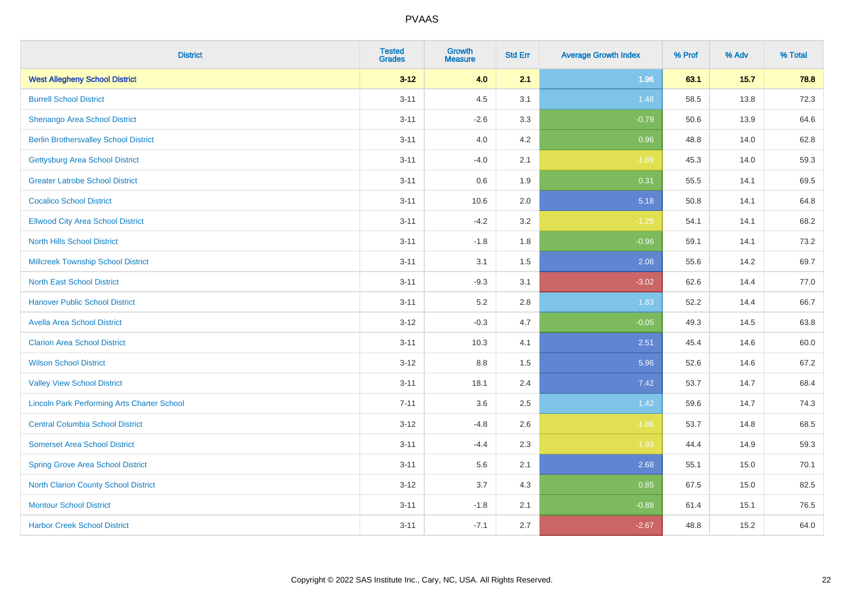| <b>District</b>                                    | <b>Tested</b><br><b>Grades</b> | <b>Growth</b><br><b>Measure</b> | <b>Std Err</b> | <b>Average Growth Index</b> | % Prof | % Adv | % Total |
|----------------------------------------------------|--------------------------------|---------------------------------|----------------|-----------------------------|--------|-------|---------|
| <b>West Allegheny School District</b>              | $3 - 12$                       | 4.0                             | 2.1            | 1.96                        | 63.1   | 15.7  | 78.8    |
| <b>Burrell School District</b>                     | $3 - 11$                       | 4.5                             | 3.1            | 1.48                        | 58.5   | 13.8  | 72.3    |
| Shenango Area School District                      | $3 - 11$                       | $-2.6$                          | 3.3            | $-0.79$                     | 50.6   | 13.9  | 64.6    |
| <b>Berlin Brothersvalley School District</b>       | $3 - 11$                       | 4.0                             | 4.2            | 0.96                        | 48.8   | 14.0  | 62.8    |
| <b>Gettysburg Area School District</b>             | $3 - 11$                       | $-4.0$                          | 2.1            | $-1.89$                     | 45.3   | 14.0  | 59.3    |
| <b>Greater Latrobe School District</b>             | $3 - 11$                       | 0.6                             | 1.9            | 0.31                        | 55.5   | 14.1  | 69.5    |
| <b>Cocalico School District</b>                    | $3 - 11$                       | 10.6                            | 2.0            | 5.18                        | 50.8   | 14.1  | 64.8    |
| <b>Ellwood City Area School District</b>           | $3 - 11$                       | $-4.2$                          | 3.2            | $-1.29$                     | 54.1   | 14.1  | 68.2    |
| <b>North Hills School District</b>                 | $3 - 11$                       | $-1.8$                          | 1.8            | $-0.96$                     | 59.1   | 14.1  | 73.2    |
| <b>Millcreek Township School District</b>          | $3 - 11$                       | 3.1                             | 1.5            | 2.06                        | 55.6   | 14.2  | 69.7    |
| <b>North East School District</b>                  | $3 - 11$                       | $-9.3$                          | 3.1            | $-3.02$                     | 62.6   | 14.4  | 77.0    |
| <b>Hanover Public School District</b>              | $3 - 11$                       | 5.2                             | 2.8            | 1.83                        | 52.2   | 14.4  | 66.7    |
| <b>Avella Area School District</b>                 | $3 - 12$                       | $-0.3$                          | 4.7            | $-0.05$                     | 49.3   | 14.5  | 63.8    |
| <b>Clarion Area School District</b>                | $3 - 11$                       | 10.3                            | 4.1            | 2.51                        | 45.4   | 14.6  | 60.0    |
| <b>Wilson School District</b>                      | $3 - 12$                       | 8.8                             | 1.5            | 5.96                        | 52.6   | 14.6  | 67.2    |
| <b>Valley View School District</b>                 | $3 - 11$                       | 18.1                            | 2.4            | 7.42                        | 53.7   | 14.7  | 68.4    |
| <b>Lincoln Park Performing Arts Charter School</b> | $7 - 11$                       | 3.6                             | 2.5            | 1.42                        | 59.6   | 14.7  | 74.3    |
| <b>Central Columbia School District</b>            | $3 - 12$                       | $-4.8$                          | 2.6            | $-1.86$                     | 53.7   | 14.8  | 68.5    |
| <b>Somerset Area School District</b>               | $3 - 11$                       | $-4.4$                          | 2.3            | $-1.93$                     | 44.4   | 14.9  | 59.3    |
| <b>Spring Grove Area School District</b>           | $3 - 11$                       | 5.6                             | 2.1            | 2.68                        | 55.1   | 15.0  | 70.1    |
| <b>North Clarion County School District</b>        | $3 - 12$                       | 3.7                             | 4.3            | 0.85                        | 67.5   | 15.0  | 82.5    |
| <b>Montour School District</b>                     | $3 - 11$                       | $-1.8$                          | 2.1            | $-0.88$                     | 61.4   | 15.1  | 76.5    |
| <b>Harbor Creek School District</b>                | $3 - 11$                       | $-7.1$                          | 2.7            | $-2.67$                     | 48.8   | 15.2  | 64.0    |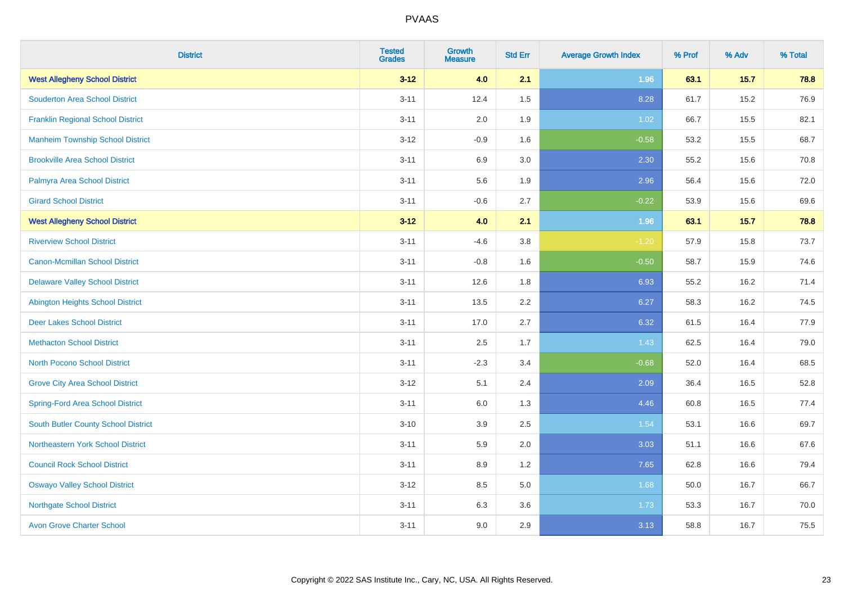| <b>District</b>                          | <b>Tested</b><br><b>Grades</b> | <b>Growth</b><br><b>Measure</b> | <b>Std Err</b> | <b>Average Growth Index</b> | % Prof | % Adv | % Total |
|------------------------------------------|--------------------------------|---------------------------------|----------------|-----------------------------|--------|-------|---------|
| <b>West Allegheny School District</b>    | $3 - 12$                       | 4.0                             | 2.1            | 1.96                        | 63.1   | 15.7  | 78.8    |
| <b>Souderton Area School District</b>    | $3 - 11$                       | 12.4                            | 1.5            | 8.28                        | 61.7   | 15.2  | 76.9    |
| <b>Franklin Regional School District</b> | $3 - 11$                       | 2.0                             | 1.9            | 1.02                        | 66.7   | 15.5  | 82.1    |
| <b>Manheim Township School District</b>  | $3 - 12$                       | $-0.9$                          | 1.6            | $-0.58$                     | 53.2   | 15.5  | 68.7    |
| <b>Brookville Area School District</b>   | $3 - 11$                       | 6.9                             | 3.0            | 2.30                        | 55.2   | 15.6  | 70.8    |
| Palmyra Area School District             | $3 - 11$                       | 5.6                             | 1.9            | 2.96                        | 56.4   | 15.6  | 72.0    |
| <b>Girard School District</b>            | $3 - 11$                       | $-0.6$                          | 2.7            | $-0.22$                     | 53.9   | 15.6  | 69.6    |
| <b>West Allegheny School District</b>    | $3 - 12$                       | 4.0                             | 2.1            | 1.96                        | 63.1   | 15.7  | 78.8    |
| <b>Riverview School District</b>         | $3 - 11$                       | $-4.6$                          | $3.8\,$        | $-1.20$                     | 57.9   | 15.8  | 73.7    |
| <b>Canon-Mcmillan School District</b>    | $3 - 11$                       | $-0.8$                          | 1.6            | $-0.50$                     | 58.7   | 15.9  | 74.6    |
| <b>Delaware Valley School District</b>   | $3 - 11$                       | 12.6                            | 1.8            | 6.93                        | 55.2   | 16.2  | 71.4    |
| <b>Abington Heights School District</b>  | $3 - 11$                       | 13.5                            | 2.2            | 6.27                        | 58.3   | 16.2  | 74.5    |
| <b>Deer Lakes School District</b>        | $3 - 11$                       | 17.0                            | 2.7            | 6.32                        | 61.5   | 16.4  | 77.9    |
| <b>Methacton School District</b>         | $3 - 11$                       | 2.5                             | 1.7            | 1.43                        | 62.5   | 16.4  | 79.0    |
| <b>North Pocono School District</b>      | $3 - 11$                       | $-2.3$                          | 3.4            | $-0.68$                     | 52.0   | 16.4  | 68.5    |
| <b>Grove City Area School District</b>   | $3 - 12$                       | 5.1                             | 2.4            | 2.09                        | 36.4   | 16.5  | 52.8    |
| <b>Spring-Ford Area School District</b>  | $3 - 11$                       | 6.0                             | 1.3            | 4.46                        | 60.8   | 16.5  | 77.4    |
| South Butler County School District      | $3 - 10$                       | 3.9                             | 2.5            | 1.54                        | 53.1   | 16.6  | 69.7    |
| Northeastern York School District        | $3 - 11$                       | 5.9                             | 2.0            | 3.03                        | 51.1   | 16.6  | 67.6    |
| <b>Council Rock School District</b>      | $3 - 11$                       | 8.9                             | 1.2            | 7.65                        | 62.8   | 16.6  | 79.4    |
| <b>Oswayo Valley School District</b>     | $3 - 12$                       | 8.5                             | 5.0            | 1.68                        | 50.0   | 16.7  | 66.7    |
| <b>Northgate School District</b>         | $3 - 11$                       | 6.3                             | 3.6            | 1.73                        | 53.3   | 16.7  | 70.0    |
| <b>Avon Grove Charter School</b>         | $3 - 11$                       | 9.0                             | 2.9            | 3.13                        | 58.8   | 16.7  | 75.5    |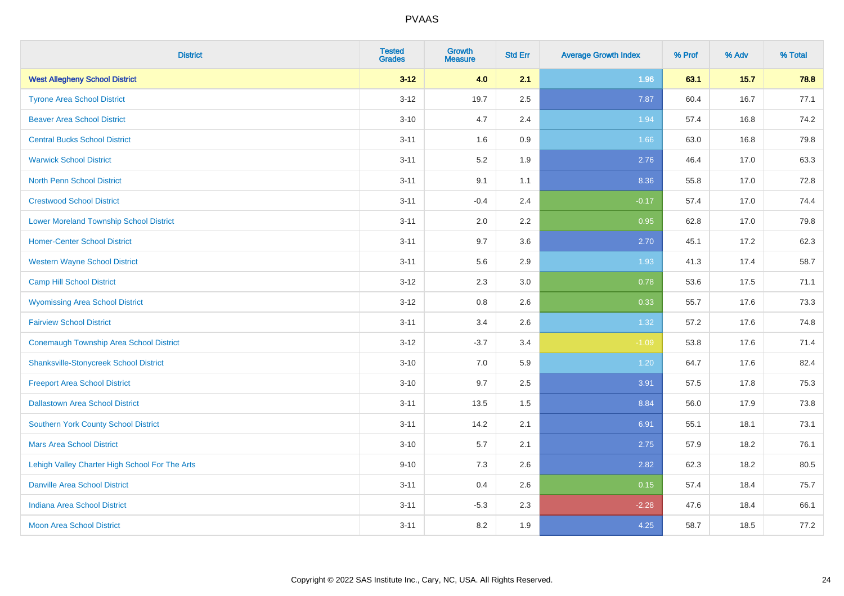| <b>District</b>                                | <b>Tested</b><br><b>Grades</b> | <b>Growth</b><br><b>Measure</b> | <b>Std Err</b> | <b>Average Growth Index</b> | % Prof | % Adv | % Total |
|------------------------------------------------|--------------------------------|---------------------------------|----------------|-----------------------------|--------|-------|---------|
| <b>West Allegheny School District</b>          | $3 - 12$                       | 4.0                             | 2.1            | 1.96                        | 63.1   | 15.7  | 78.8    |
| <b>Tyrone Area School District</b>             | $3 - 12$                       | 19.7                            | 2.5            | 7.87                        | 60.4   | 16.7  | 77.1    |
| <b>Beaver Area School District</b>             | $3 - 10$                       | 4.7                             | 2.4            | 1.94                        | 57.4   | 16.8  | 74.2    |
| <b>Central Bucks School District</b>           | $3 - 11$                       | 1.6                             | 0.9            | 1.66                        | 63.0   | 16.8  | 79.8    |
| <b>Warwick School District</b>                 | $3 - 11$                       | 5.2                             | 1.9            | 2.76                        | 46.4   | 17.0  | 63.3    |
| <b>North Penn School District</b>              | $3 - 11$                       | 9.1                             | 1.1            | 8.36                        | 55.8   | 17.0  | 72.8    |
| <b>Crestwood School District</b>               | $3 - 11$                       | $-0.4$                          | 2.4            | $-0.17$                     | 57.4   | 17.0  | 74.4    |
| <b>Lower Moreland Township School District</b> | $3 - 11$                       | 2.0                             | 2.2            | 0.95                        | 62.8   | 17.0  | 79.8    |
| <b>Homer-Center School District</b>            | $3 - 11$                       | 9.7                             | 3.6            | 2.70                        | 45.1   | 17.2  | 62.3    |
| <b>Western Wayne School District</b>           | $3 - 11$                       | 5.6                             | 2.9            | 1.93                        | 41.3   | 17.4  | 58.7    |
| <b>Camp Hill School District</b>               | $3 - 12$                       | 2.3                             | 3.0            | 0.78                        | 53.6   | 17.5  | 71.1    |
| <b>Wyomissing Area School District</b>         | $3 - 12$                       | 0.8                             | 2.6            | 0.33                        | 55.7   | 17.6  | 73.3    |
| <b>Fairview School District</b>                | $3 - 11$                       | 3.4                             | 2.6            | 1.32                        | 57.2   | 17.6  | 74.8    |
| <b>Conemaugh Township Area School District</b> | $3 - 12$                       | $-3.7$                          | 3.4            | $-1.09$                     | 53.8   | 17.6  | 71.4    |
| <b>Shanksville-Stonycreek School District</b>  | $3 - 10$                       | 7.0                             | 5.9            | 1.20                        | 64.7   | 17.6  | 82.4    |
| <b>Freeport Area School District</b>           | $3 - 10$                       | 9.7                             | 2.5            | 3.91                        | 57.5   | 17.8  | 75.3    |
| <b>Dallastown Area School District</b>         | $3 - 11$                       | 13.5                            | 1.5            | 8.84                        | 56.0   | 17.9  | 73.8    |
| <b>Southern York County School District</b>    | $3 - 11$                       | 14.2                            | 2.1            | 6.91                        | 55.1   | 18.1  | 73.1    |
| <b>Mars Area School District</b>               | $3 - 10$                       | 5.7                             | 2.1            | 2.75                        | 57.9   | 18.2  | 76.1    |
| Lehigh Valley Charter High School For The Arts | $9 - 10$                       | 7.3                             | 2.6            | 2.82                        | 62.3   | 18.2  | 80.5    |
| <b>Danville Area School District</b>           | $3 - 11$                       | 0.4                             | 2.6            | 0.15                        | 57.4   | 18.4  | 75.7    |
| <b>Indiana Area School District</b>            | $3 - 11$                       | $-5.3$                          | 2.3            | $-2.28$                     | 47.6   | 18.4  | 66.1    |
| <b>Moon Area School District</b>               | $3 - 11$                       | 8.2                             | 1.9            | 4.25                        | 58.7   | 18.5  | 77.2    |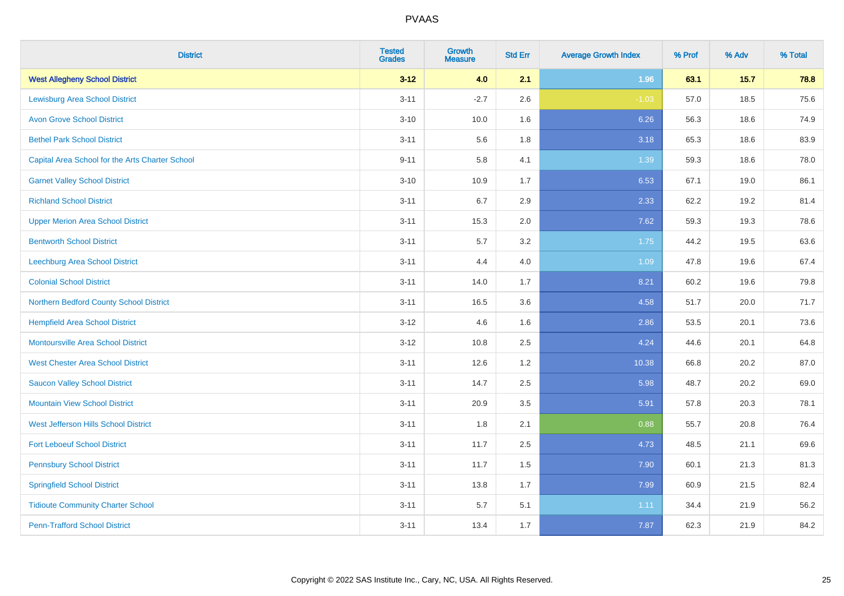| <b>District</b>                                 | <b>Tested</b><br><b>Grades</b> | <b>Growth</b><br><b>Measure</b> | <b>Std Err</b> | <b>Average Growth Index</b> | % Prof | % Adv | % Total |
|-------------------------------------------------|--------------------------------|---------------------------------|----------------|-----------------------------|--------|-------|---------|
| <b>West Allegheny School District</b>           | $3 - 12$                       | 4.0                             | 2.1            | 1.96                        | 63.1   | 15.7  | 78.8    |
| <b>Lewisburg Area School District</b>           | $3 - 11$                       | $-2.7$                          | 2.6            | $-1.03$                     | 57.0   | 18.5  | 75.6    |
| <b>Avon Grove School District</b>               | $3 - 10$                       | 10.0                            | 1.6            | 6.26                        | 56.3   | 18.6  | 74.9    |
| <b>Bethel Park School District</b>              | $3 - 11$                       | 5.6                             | 1.8            | 3.18                        | 65.3   | 18.6  | 83.9    |
| Capital Area School for the Arts Charter School | $9 - 11$                       | 5.8                             | 4.1            | 1.39                        | 59.3   | 18.6  | 78.0    |
| <b>Garnet Valley School District</b>            | $3 - 10$                       | 10.9                            | 1.7            | 6.53                        | 67.1   | 19.0  | 86.1    |
| <b>Richland School District</b>                 | $3 - 11$                       | 6.7                             | 2.9            | 2.33                        | 62.2   | 19.2  | 81.4    |
| <b>Upper Merion Area School District</b>        | $3 - 11$                       | 15.3                            | 2.0            | 7.62                        | 59.3   | 19.3  | 78.6    |
| <b>Bentworth School District</b>                | $3 - 11$                       | 5.7                             | 3.2            | 1.75                        | 44.2   | 19.5  | 63.6    |
| Leechburg Area School District                  | $3 - 11$                       | 4.4                             | 4.0            | 1.09                        | 47.8   | 19.6  | 67.4    |
| <b>Colonial School District</b>                 | $3 - 11$                       | 14.0                            | 1.7            | 8.21                        | 60.2   | 19.6  | 79.8    |
| Northern Bedford County School District         | $3 - 11$                       | 16.5                            | 3.6            | 4.58                        | 51.7   | 20.0  | 71.7    |
| <b>Hempfield Area School District</b>           | $3 - 12$                       | 4.6                             | 1.6            | 2.86                        | 53.5   | 20.1  | 73.6    |
| <b>Montoursville Area School District</b>       | $3 - 12$                       | 10.8                            | 2.5            | 4.24                        | 44.6   | 20.1  | 64.8    |
| <b>West Chester Area School District</b>        | $3 - 11$                       | 12.6                            | 1.2            | 10.38                       | 66.8   | 20.2  | 87.0    |
| <b>Saucon Valley School District</b>            | $3 - 11$                       | 14.7                            | 2.5            | 5.98                        | 48.7   | 20.2  | 69.0    |
| <b>Mountain View School District</b>            | $3 - 11$                       | 20.9                            | 3.5            | 5.91                        | 57.8   | 20.3  | 78.1    |
| West Jefferson Hills School District            | $3 - 11$                       | 1.8                             | 2.1            | 0.88                        | 55.7   | 20.8  | 76.4    |
| <b>Fort Leboeuf School District</b>             | $3 - 11$                       | 11.7                            | 2.5            | 4.73                        | 48.5   | 21.1  | 69.6    |
| <b>Pennsbury School District</b>                | $3 - 11$                       | 11.7                            | 1.5            | 7.90                        | 60.1   | 21.3  | 81.3    |
| <b>Springfield School District</b>              | $3 - 11$                       | 13.8                            | 1.7            | 7.99                        | 60.9   | 21.5  | 82.4    |
| <b>Tidioute Community Charter School</b>        | $3 - 11$                       | 5.7                             | 5.1            | 1.11                        | 34.4   | 21.9  | 56.2    |
| <b>Penn-Trafford School District</b>            | $3 - 11$                       | 13.4                            | 1.7            | 7.87                        | 62.3   | 21.9  | 84.2    |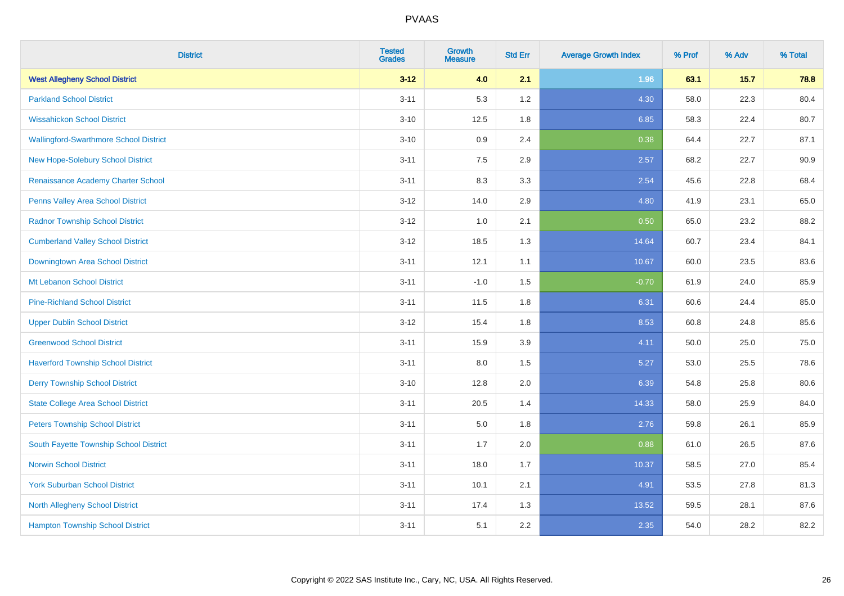| <b>District</b>                               | <b>Tested</b><br><b>Grades</b> | <b>Growth</b><br><b>Measure</b> | <b>Std Err</b> | <b>Average Growth Index</b> | % Prof | % Adv  | % Total |
|-----------------------------------------------|--------------------------------|---------------------------------|----------------|-----------------------------|--------|--------|---------|
| <b>West Allegheny School District</b>         | $3 - 12$                       | 4.0                             | 2.1            | 1.96                        | 63.1   | $15.7$ | 78.8    |
| <b>Parkland School District</b>               | $3 - 11$                       | 5.3                             | 1.2            | 4.30                        | 58.0   | 22.3   | 80.4    |
| <b>Wissahickon School District</b>            | $3 - 10$                       | 12.5                            | 1.8            | 6.85                        | 58.3   | 22.4   | 80.7    |
| <b>Wallingford-Swarthmore School District</b> | $3 - 10$                       | 0.9                             | 2.4            | 0.38                        | 64.4   | 22.7   | 87.1    |
| <b>New Hope-Solebury School District</b>      | $3 - 11$                       | 7.5                             | 2.9            | 2.57                        | 68.2   | 22.7   | 90.9    |
| Renaissance Academy Charter School            | $3 - 11$                       | 8.3                             | 3.3            | 2.54                        | 45.6   | 22.8   | 68.4    |
| Penns Valley Area School District             | $3 - 12$                       | 14.0                            | 2.9            | 4.80                        | 41.9   | 23.1   | 65.0    |
| <b>Radnor Township School District</b>        | $3 - 12$                       | 1.0                             | 2.1            | 0.50                        | 65.0   | 23.2   | 88.2    |
| <b>Cumberland Valley School District</b>      | $3 - 12$                       | 18.5                            | 1.3            | 14.64                       | 60.7   | 23.4   | 84.1    |
| Downingtown Area School District              | $3 - 11$                       | 12.1                            | 1.1            | 10.67                       | 60.0   | 23.5   | 83.6    |
| Mt Lebanon School District                    | $3 - 11$                       | $-1.0$                          | 1.5            | $-0.70$                     | 61.9   | 24.0   | 85.9    |
| <b>Pine-Richland School District</b>          | $3 - 11$                       | 11.5                            | 1.8            | 6.31                        | 60.6   | 24.4   | 85.0    |
| <b>Upper Dublin School District</b>           | $3 - 12$                       | 15.4                            | 1.8            | 8.53                        | 60.8   | 24.8   | 85.6    |
| <b>Greenwood School District</b>              | $3 - 11$                       | 15.9                            | 3.9            | 4.11                        | 50.0   | 25.0   | 75.0    |
| <b>Haverford Township School District</b>     | $3 - 11$                       | 8.0                             | 1.5            | 5.27                        | 53.0   | 25.5   | 78.6    |
| <b>Derry Township School District</b>         | $3 - 10$                       | 12.8                            | 2.0            | 6.39                        | 54.8   | 25.8   | 80.6    |
| <b>State College Area School District</b>     | $3 - 11$                       | 20.5                            | 1.4            | 14.33                       | 58.0   | 25.9   | 84.0    |
| <b>Peters Township School District</b>        | $3 - 11$                       | 5.0                             | 1.8            | 2.76                        | 59.8   | 26.1   | 85.9    |
| South Fayette Township School District        | $3 - 11$                       | 1.7                             | 2.0            | 0.88                        | 61.0   | 26.5   | 87.6    |
| <b>Norwin School District</b>                 | $3 - 11$                       | 18.0                            | 1.7            | 10.37                       | 58.5   | 27.0   | 85.4    |
| <b>York Suburban School District</b>          | $3 - 11$                       | 10.1                            | 2.1            | 4.91                        | 53.5   | 27.8   | 81.3    |
| North Allegheny School District               | $3 - 11$                       | 17.4                            | 1.3            | 13.52                       | 59.5   | 28.1   | 87.6    |
| <b>Hampton Township School District</b>       | $3 - 11$                       | 5.1                             | 2.2            | 2.35                        | 54.0   | 28.2   | 82.2    |